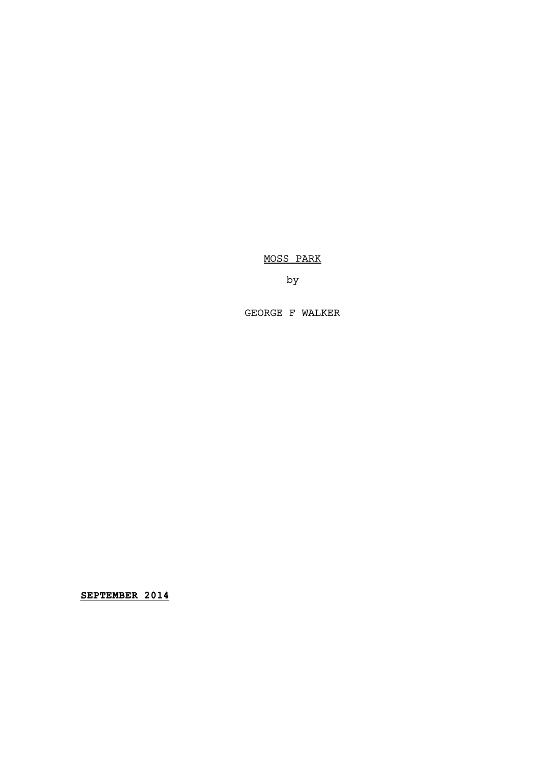MOSS PARK

by

GEORGE F WALKER

**SEPTEMBER 2014**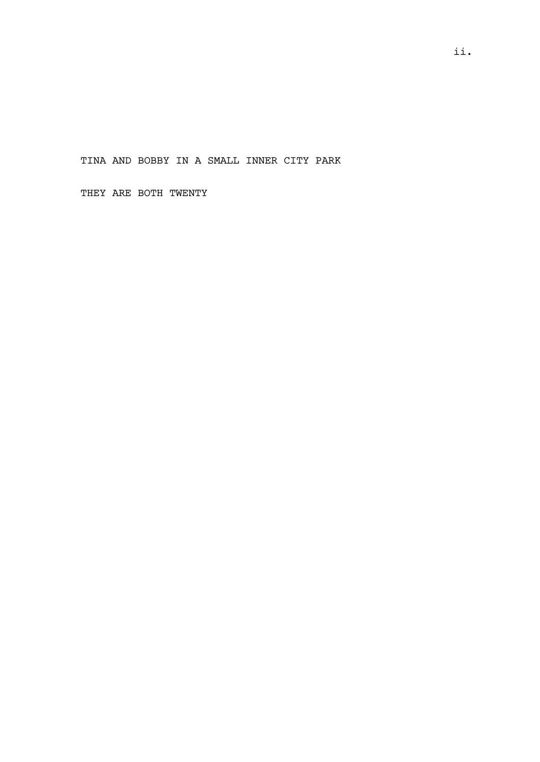TINA AND BOBBY IN A SMALL INNER CITY PARK

THEY ARE BOTH TWENTY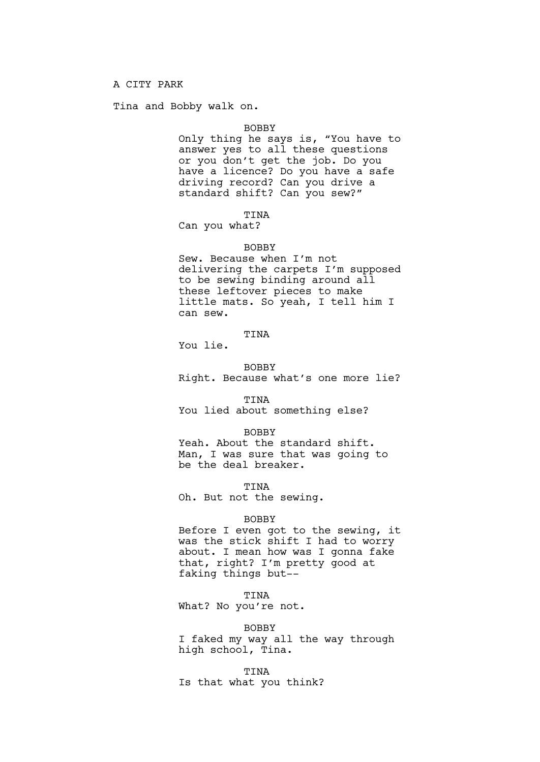Tina and Bobby walk on.

### BOBBY

Only thing he says is, "You have to answer yes to all these questions or you don't get the job. Do you have a licence? Do you have a safe driving record? Can you drive a standard shift? Can you sew?"

# TINA

Can you what?

# BOBBY

Sew. Because when I'm not delivering the carpets I'm supposed to be sewing binding around all these leftover pieces to make little mats. So yeah, I tell him I can sew.

# TINA

You lie.

BOBBY Right. Because what's one more lie?

TINA You lied about something else?

#### BOBBY

Yeah. About the standard shift. Man, I was sure that was going to be the deal breaker.

TINA

Oh. But not the sewing.

#### BOBBY

Before I even got to the sewing, it was the stick shift I had to worry about. I mean how was I gonna fake that, right? I'm pretty good at faking things but--

# TINA

What? No you're not.

### BOBBY

I faked my way all the way through high school, Tina.

TINA

Is that what you think?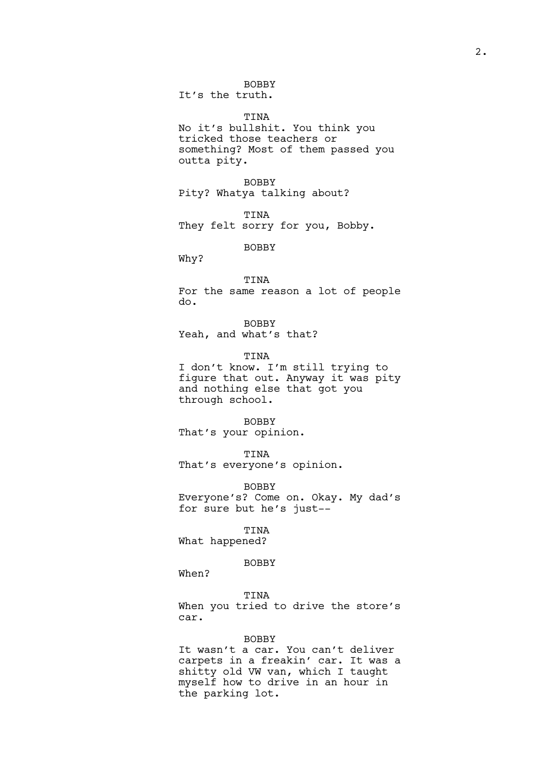It's the truth.

# TINA

No it's bullshit. You think you tricked those teachers or something? Most of them passed you outta pity.

BOBBY Pity? Whatya talking about?

TINA They felt sorry for you, Bobby.

BOBBY

Why?

# TINA

For the same reason a lot of people do.

BOBBY Yeah, and what's that?

TINA I don't know. I'm still trying to figure that out. Anyway it was pity and nothing else that got you through school.

### BOBBY

That's your opinion.

### TINA

That's everyone's opinion.

BOBBY

Everyone's? Come on. Okay. My dad's for sure but he's just--

# TINA

What happened?

# BOBBY

When?

### TINA

When you tried to drive the store's car.

### BOBBY

It wasn't a car. You can't deliver carpets in a freakin' car. It was a shitty old VW van, which I taught myself how to drive in an hour in the parking lot.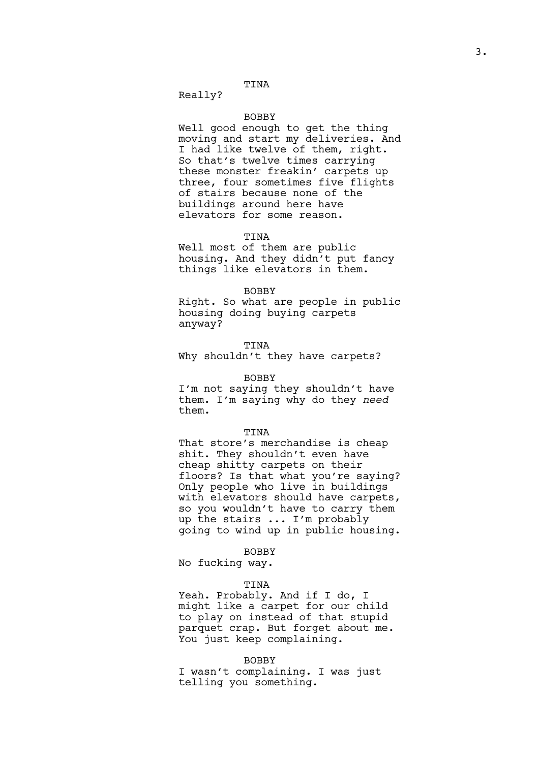Really?

# BOBBY

Well good enough to get the thing moving and start my deliveries. And I had like twelve of them, right. So that's twelve times carrying these monster freakin' carpets up three, four sometimes five flights of stairs because none of the buildings around here have elevators for some reason.

#### TINA

Well most of them are public housing. And they didn't put fancy things like elevators in them.

# BOBBY

Right. So what are people in public housing doing buying carpets anyway?

### TINA

Why shouldn't they have carpets?

### BOBBY

I'm not saying they shouldn't have them. I'm saying why do they *need*  them.

### TINA

That store's merchandise is cheap shit. They shouldn't even have cheap shitty carpets on their floors? Is that what you're saying? Only people who live in buildings with elevators should have carpets, so you wouldn't have to carry them up the stairs ... I'm probably going to wind up in public housing.

# BOBBY

No fucking way.

### TINA

Yeah. Probably. And if I do, I might like a carpet for our child to play on instead of that stupid parquet crap. But forget about me. You just keep complaining.

# BOBBY

I wasn't complaining. I was just telling you something.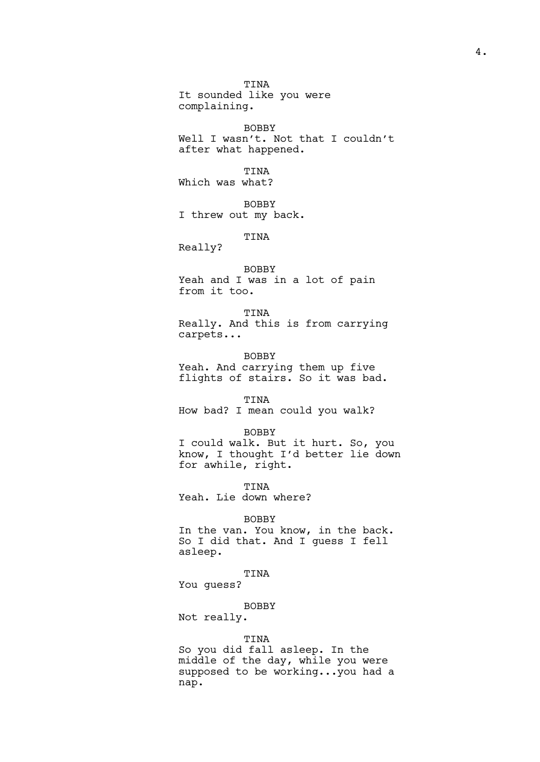TINA It sounded like you were complaining.

BOBBY Well I wasn't. Not that I couldn't after what happened.

TINA Which was what?

BOBBY I threw out my back.

TINA

Really?

BOBBY Yeah and I was in a lot of pain from it too.

TINA Really. And this is from carrying carpets...

BOBBY Yeah. And carrying them up five flights of stairs. So it was bad.

TINA How bad? I mean could you walk?

BOBBY I could walk. But it hurt. So, you know, I thought I'd better lie down for awhile, right.

TINA Yeah. Lie down where?

BOBBY

In the van. You know, in the back. So I did that. And I guess I fell asleep.

TINA

You guess?

BOBBY

Not really.

# TINA

So you did fall asleep. In the middle of the day, while you were supposed to be working...you had a nap.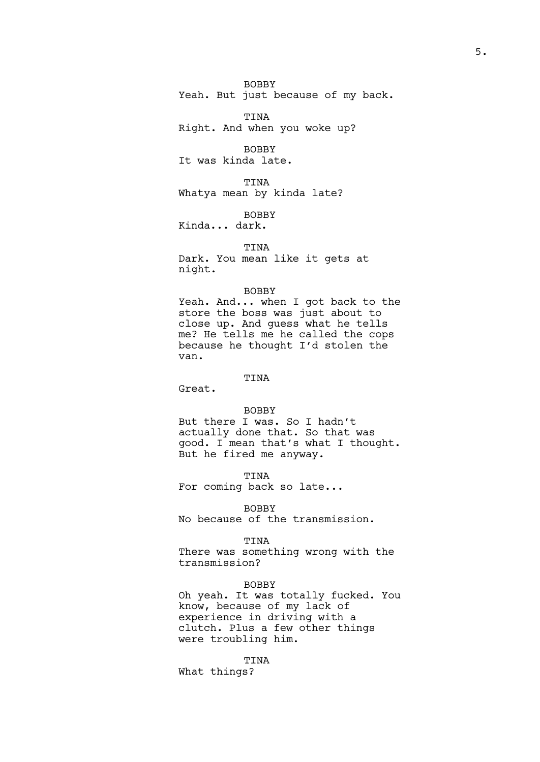BOBBY Yeah. But just because of my back.

TINA Right. And when you woke up?

BOBBY It was kinda late.

TINA Whatya mean by kinda late?

BOBBY Kinda... dark.

TINA Dark. You mean like it gets at night.

# BOBBY

Yeah. And... when I got back to the store the boss was just about to close up. And guess what he tells me? He tells me he called the cops because he thought I'd stolen the van.

# TINA

Great.

### BOBBY

But there I was. So I hadn't actually done that. So that was good. I mean that's what I thought. But he fired me anyway.

TINA

For coming back so late...

BOBBY

No because of the transmission.

# TINA

There was something wrong with the transmission?

### BOBBY

Oh yeah. It was totally fucked. You know, because of my lack of experience in driving with a clutch. Plus a few other things were troubling him.

# TINA

What things?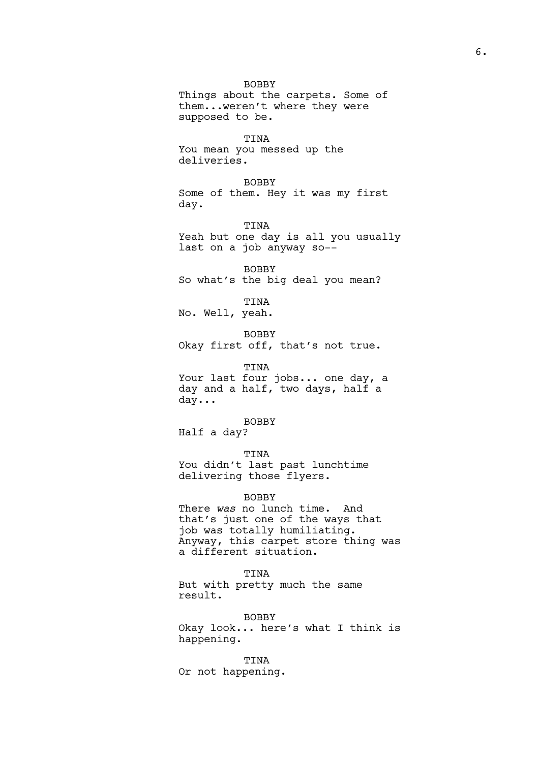BOBBY Things about the carpets. Some of them...weren't where they were supposed to be. TINA You mean you messed up the deliveries. BOBBY Some of them. Hey it was my first day. TINA Yeah but one day is all you usually last on a job anyway so-- BOBBY So what's the big deal you mean? TINA No. Well, yeah. BOBBY Okay first off, that's not true. TINA Your last four jobs... one day, a day and a half, two days, half a day... BOBBY Half a day? TINA You didn't last past lunchtime delivering those flyers. BOBBY There *was* no lunch time. And

that's just one of the ways that job was totally humiliating. Anyway, this carpet store thing was a different situation.

TINA But with pretty much the same result.

BOBBY Okay look... here's what I think is happening.

TINA Or not happening.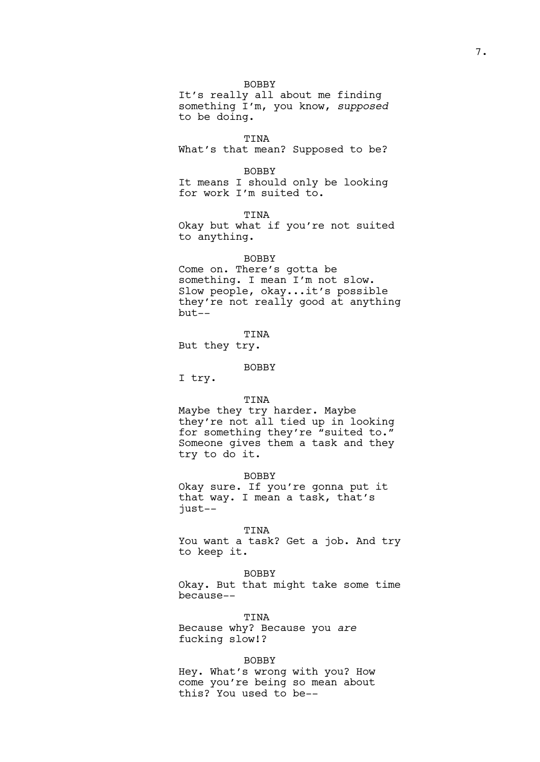It's really all about me finding something I'm, you know, *supposed* to be doing.

TINA

What's that mean? Supposed to be?

BOBBY

It means I should only be looking for work I'm suited to.

TINA

Okay but what if you're not suited to anything.

### BOBBY

Come on. There's gotta be something. I mean I'm not slow. Slow people, okay...it's possible they're not really good at anything but--

TINA But they try.

# BOBBY

I try.

# TINA

Maybe they try harder. Maybe they're not all tied up in looking for something they're "suited to." Someone gives them a task and they try to do it.

BOBBY

Okay sure. If you're gonna put it that way. I mean a task, that's just--

TINA

You want a task? Get a job. And try to keep it.

BOBBY

Okay. But that might take some time because--

TINA Because why? Because you *are*  fucking slow!?

### BOBBY

Hey. What's wrong with you? How come you're being so mean about this? You used to be--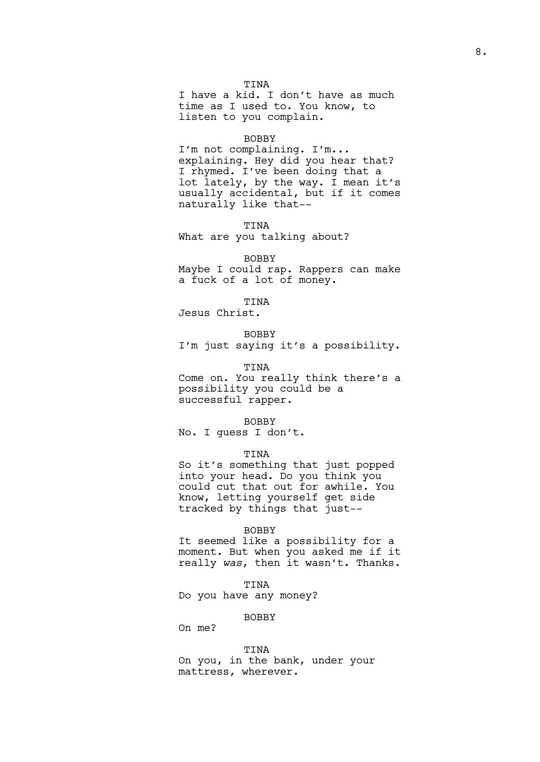I have a kid. I don't have as much time as I used to. You know, to listen to you complain.

#### BOBBY

I'm not complaining. I'm... explaining. Hey did you hear that? I rhymed. I've been doing that a lot lately, by the way. I mean it's usually accidental, but if it comes naturally like that--

TINA What are you talking about?

BOBBY Maybe I could rap. Rappers can make a fuck of a lot of money.

TINA Jesus Christ.

# BOBBY

I'm just saying it's a possibility.

### TINA

Come on. You really think there's a possibility you could be a successful rapper.

### BOBBY

No. I guess I don't.

# TINA

So it's something that just popped into your head. Do you think you could cut that out for awhile. You know, letting yourself get side tracked by things that just--

### BOBBY

It seemed like a possibility for a moment. But when you asked me if it really *was*, then it wasn't. Thanks.

### TINA

Do you have any money?

### BOBBY

On me?

# TINA

On you, in the bank, under your mattress, wherever.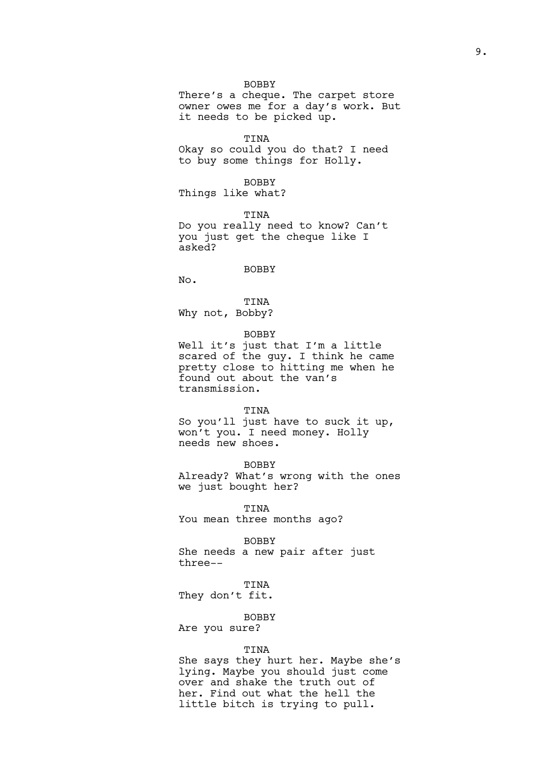There's a cheque. The carpet store owner owes me for a day's work. But it needs to be picked up.

TINA Okay so could you do that? I need to buy some things for Holly.

BOBBY Things like what?

TINA Do you really need to know? Can't you just get the cheque like I asked?

# BOBBY

No.

TINA Why not, Bobby?

### BOBBY

Well it's just that I'm a little scared of the guy. I think he came pretty close to hitting me when he found out about the van's transmission.

#### TINA

So you'll just have to suck it up, won't you. I need money. Holly needs new shoes.

BOBBY Already? What's wrong with the ones we just bought her?

TINA You mean three months ago?

BOBBY She needs a new pair after just three--

### TINA

They don't fit.

# BOBBY

Are you sure?

### TINA

She says they hurt her. Maybe she's lying. Maybe you should just come over and shake the truth out of her. Find out what the hell the little bitch is trying to pull.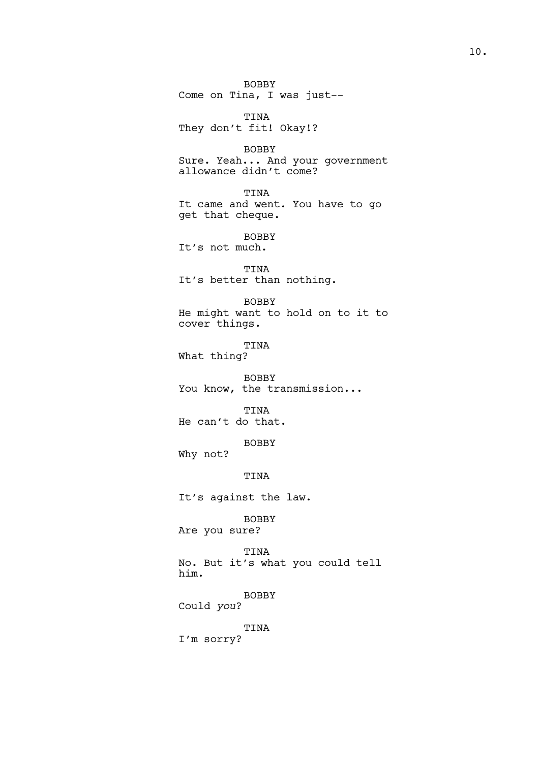BOBBY Come on Tina, I was just--

TINA They don't fit! Okay!?

BOBBY Sure. Yeah... And your government allowance didn't come?

TINA It came and went. You have to go get that cheque.

BOBBY It's not much.

TINA It's better than nothing.

BOBBY He might want to hold on to it to cover things.

TINA What thing?

BOBBY You know, the transmission...

TINA He can't do that.

BOBBY

Why not?

TINA

It's against the law.

BOBBY Are you sure?

TINA No. But it's what you could tell him.

BOBBY

Could *you*?

TINA

I'm sorry?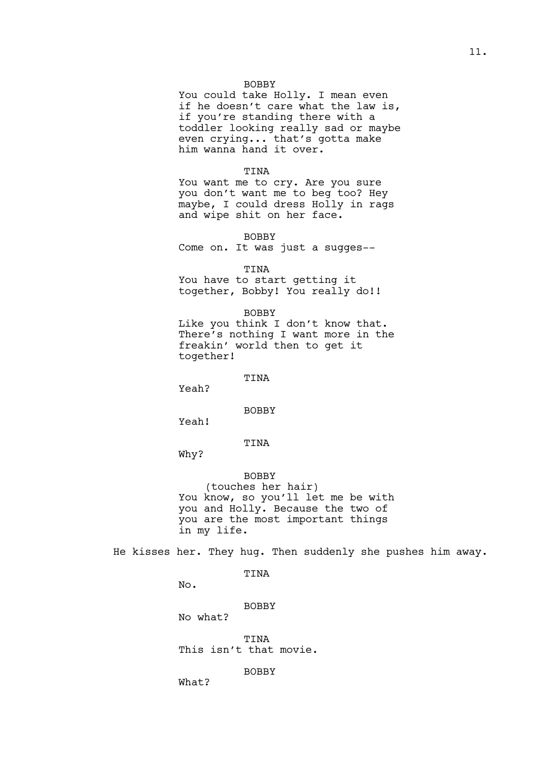You could take Holly. I mean even if he doesn't care what the law is, if you're standing there with a toddler looking really sad or maybe even crying... that's gotta make him wanna hand it over.

# TINA

You want me to cry. Are you sure you don't want me to beg too? Hey maybe, I could dress Holly in rags and wipe shit on her face.

BOBBY

Come on. It was just a sugges--

TINA

You have to start getting it together, Bobby! You really do!!

### BOBBY

Like you think I don't know that. There's nothing I want more in the freakin' world then to get it together!

TINA

Yeah?

BOBBY

Yeah!

Why?

TINA

# BOBBY

(touches her hair) You know, so you'll let me be with you and Holly. Because the two of you are the most important things in my life.

He kisses her. They hug. Then suddenly she pushes him away.

# TINA

No.

# BOBBY

No what?

TINA This isn't that movie.

BOBBY

What?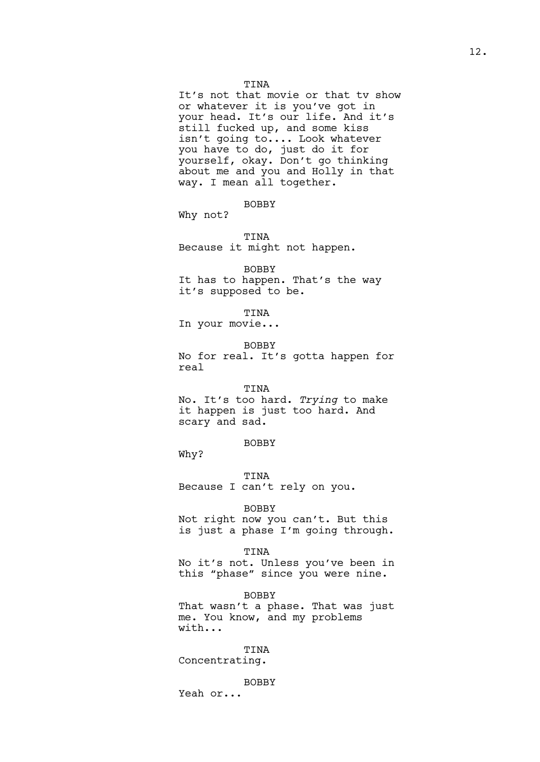It's not that movie or that tv show or whatever it is you've got in your head. It's our life. And it's still fucked up, and some kiss isn't going to.... Look whatever you have to do, just do it for yourself, okay. Don't go thinking about me and you and Holly in that way. I mean all together.

BOBBY

Why not?

TINA Because it might not happen.

BOBBY It has to happen. That's the way it's supposed to be.

# TINA

In your movie...

BOBBY

No for real. It's gotta happen for real

# TINA

No. It's too hard. *Trying* to make it happen is just too hard. And scary and sad.

BOBBY

Why?

TINA Because I can't rely on you.

### BOBBY

Not right now you can't. But this is just a phase I'm going through.

#### TINA

No it's not. Unless you've been in this "phase" since you were nine.

BOBBY That wasn't a phase. That was just me. You know, and my problems with...

TINA Concentrating.

BOBBY Yeah or...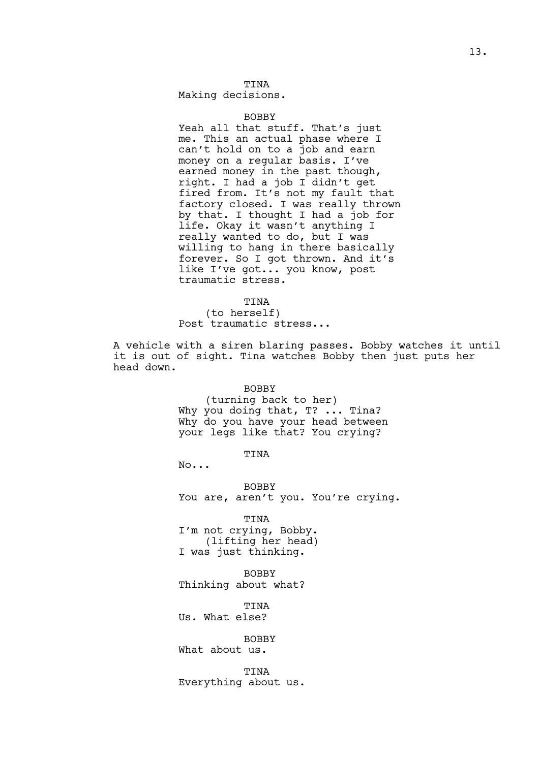Making decisions.

# BOBBY

Yeah all that stuff. That's just me. This an actual phase where I can't hold on to a job and earn money on a regular basis. I've earned money in the past though, right. I had a job I didn't get fired from. It's not my fault that factory closed. I was really thrown by that. I thought I had a job for life. Okay it wasn't anything I really wanted to do, but I was willing to hang in there basically forever. So I got thrown. And it's like I've got... you know, post traumatic stress.

#### TINA

(to herself) Post traumatic stress...

A vehicle with a siren blaring passes. Bobby watches it until it is out of sight. Tina watches Bobby then just puts her head down.

### BOBBY

(turning back to her) Why you doing that, T? ... Tina? Why do you have your head between your legs like that? You crying?

# TINA

No...

BOBBY You are, aren't you. You're crying.

TINA I'm not crying, Bobby. (lifting her head) I was just thinking.

BOBBY Thinking about what?

TINA

Us. What else?

# BOBBY

What about us.

TINA Everything about us.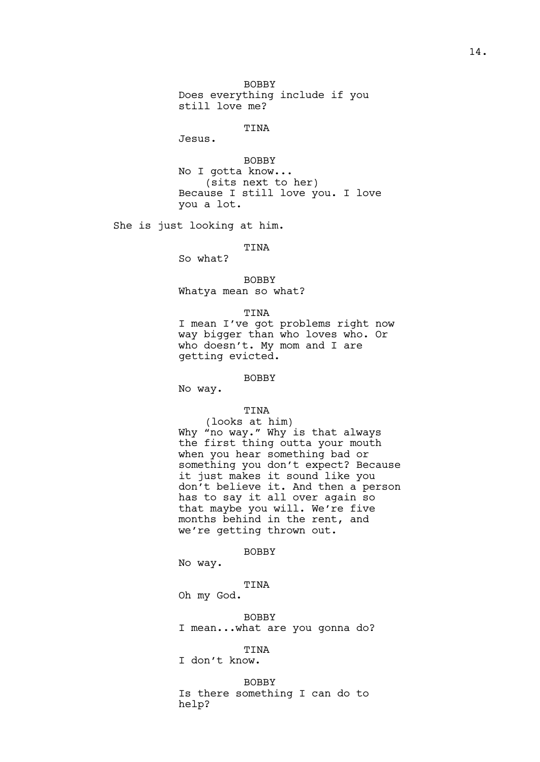BOBBY Does everything include if you still love me?

# **TINA**

Jesus.

BOBBY No I gotta know... (sits next to her) Because I still love you. I love you a lot.

She is just looking at him.

TINA

So what?

BOBBY Whatya mean so what?

### TINA

I mean I've got problems right now way bigger than who loves who. Or who doesn't. My mom and I are getting evicted.

### BOBBY

No way.

# TINA

(looks at him) Why "no way." Why is that always the first thing outta your mouth when you hear something bad or something you don't expect? Because it just makes it sound like you don't believe it. And then a person has to say it all over again so that maybe you will. We're five months behind in the rent, and we're getting thrown out.

# BOBBY

No way.

# TINA

Oh my God.

BOBBY I mean...what are you gonna do?

TINA I don't know.

### BOBBY

Is there something I can do to help?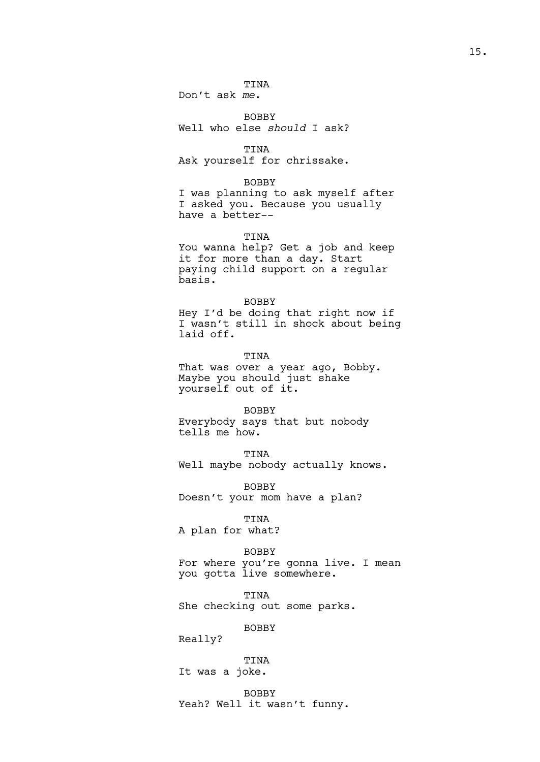Don't ask *me*.

BOBBY Well who else *should* I ask?

TINA Ask yourself for chrissake.

### BOBBY

I was planning to ask myself after I asked you. Because you usually have a better--

# TINA

You wanna help? Get a job and keep it for more than a day. Start paying child support on a regular basis.

#### BOBBY

Hey I'd be doing that right now if I wasn't still in shock about being laid off.

TINA That was over a year ago, Bobby. Maybe you should just shake yourself out of it.

BOBBY

Everybody says that but nobody tells me how.

TINA

Well maybe nobody actually knows.

BOBBY Doesn't your mom have a plan?

TINA

A plan for what?

# BOBBY

For where you're gonna live. I mean you gotta live somewhere.

TINA She checking out some parks.

BOBBY

Really?

TINA It was a joke.

BOBBY

Yeah? Well it wasn't funny.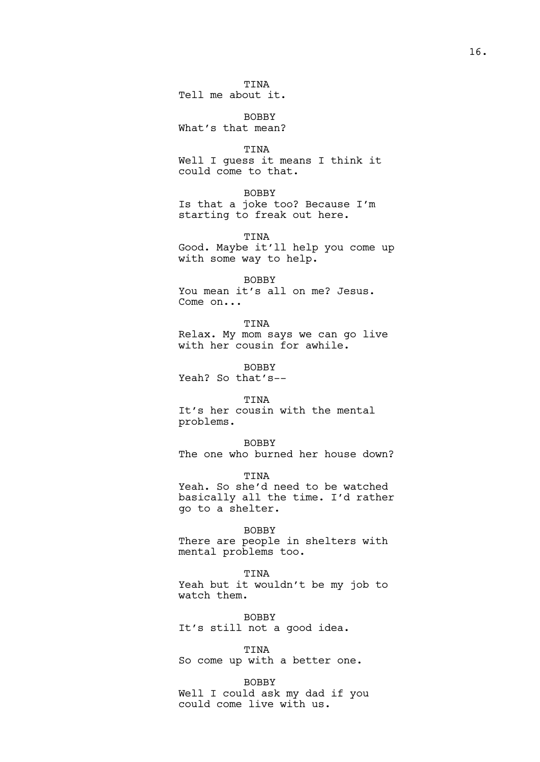Tell me about it.

BOBBY What's that mean?

TINA

Well I guess it means I think it could come to that.

BOBBY

Is that a joke too? Because I'm starting to freak out here.

TINA

Good. Maybe it'll help you come up with some way to help.

BOBBY

You mean it's all on me? Jesus. Come on...

TINA Relax. My mom says we can go live with her cousin for awhile.

BOBBY Yeah? So that's--

TINA

It's her cousin with the mental problems.

BOBBY

The one who burned her house down?

**TINA** 

Yeah. So she'd need to be watched basically all the time. I'd rather go to a shelter.

BOBBY

There are people in shelters with mental problems too.

TINA

Yeah but it wouldn't be my job to watch them.

BOBBY It's still not a good idea.

TINA So come up with a better one.

BOBBY Well I could ask my dad if you could come live with us.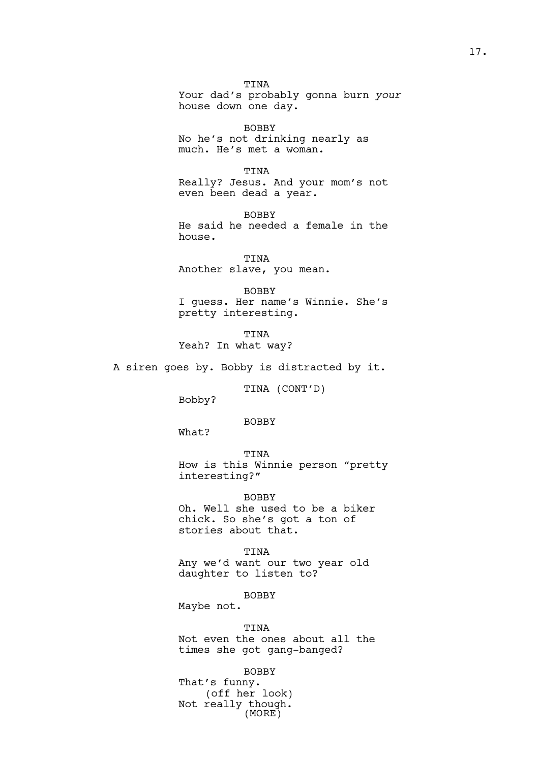TINA Your dad's probably gonna burn *your* house down one day.

BOBBY No he's not drinking nearly as much. He's met a woman.

TINA Really? Jesus. And your mom's not even been dead a year.

BOBBY He said he needed a female in the house.

TINA Another slave, you mean.

BOBBY I guess. Her name's Winnie. She's pretty interesting.

TINA Yeah? In what way?

A siren goes by. Bobby is distracted by it.

TINA (CONT'D)

Bobby?

BOBBY

What?

TINA

How is this Winnie person "pretty interesting?"

BOBBY Oh. Well she used to be a biker chick. So she's got a ton of stories about that.

TINA

Any we'd want our two year old daughter to listen to?

BOBBY

Maybe not.

TINA Not even the ones about all the times she got gang-banged?

BOBBY That's funny. (off her look) Not really though. (MORE)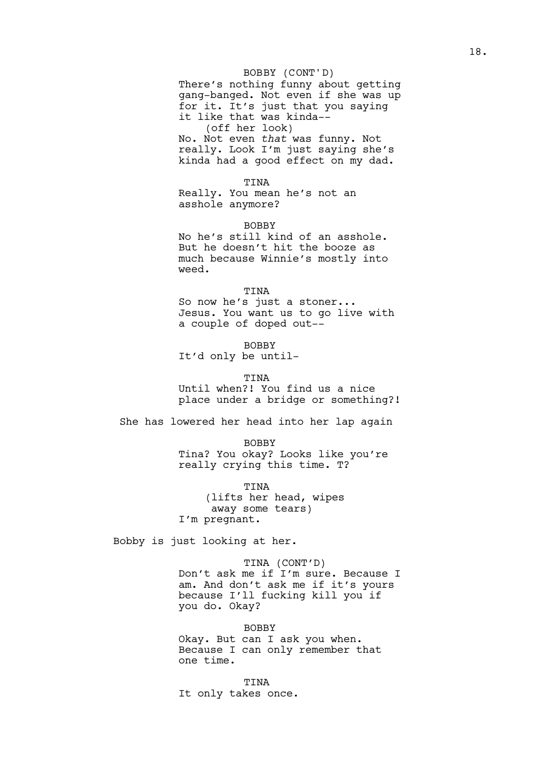# BOBBY (CONT'D)

There's nothing funny about getting gang-banged. Not even if she was up for it. It's just that you saying it like that was kinda-- (off her look) No. Not even *that* was funny. Not really. Look I'm just saying she's kinda had a good effect on my dad.

TINA

Really. You mean he's not an asshole anymore?

BOBBY

No he's still kind of an asshole. But he doesn't hit the booze as much because Winnie's mostly into weed.

### TINA

So now he's just a stoner... Jesus. You want us to go live with a couple of doped out--

BOBBY It'd only be until-

#### TINA

Until when?! You find us a nice place under a bridge or something?!

She has lowered her head into her lap again

BOBBY

Tina? You okay? Looks like you're really crying this time. T?

TINA (lifts her head, wipes away some tears) I'm pregnant.

Bobby is just looking at her.

TINA (CONT'D) Don't ask me if I'm sure. Because I am. And don't ask me if it's yours because I'll fucking kill you if you do. Okay?

BOBBY Okay. But can I ask you when. Because I can only remember that one time.

TINA It only takes once.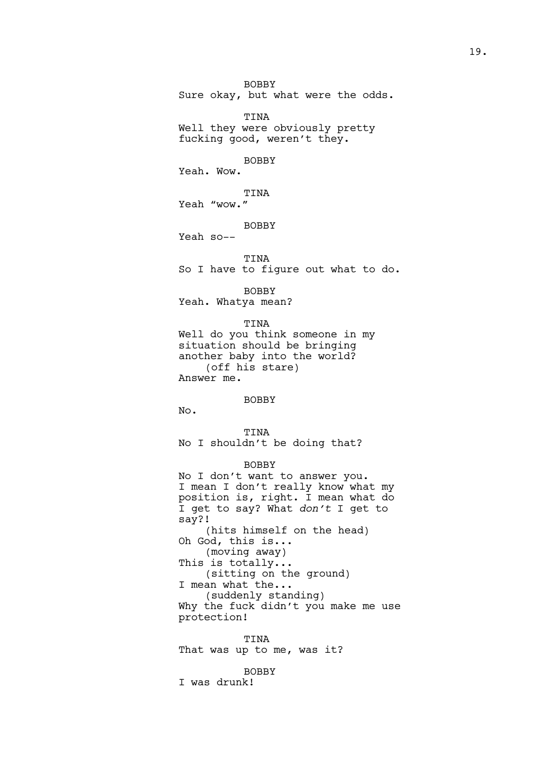BOBBY Sure okay, but what were the odds.

TINA Well they were obviously pretty fucking good, weren't they.

# BOBBY

Yeah. Wow.

TINA Yeah "wow."

# BOBBY

Yeah so--

TINA

So I have to figure out what to do.

BOBBY

Yeah. Whatya mean?

TINA

Well do you think someone in my situation should be bringing another baby into the world? (off his stare) Answer me.

# BOBBY

No.

TINA No I shouldn't be doing that?

# BOBBY

No I don't want to answer you. I mean I don't really know what my position is, right. I mean what do I get to say? What *don't* I get to say?! (hits himself on the head) Oh God, this is... (moving away) This is totally... (sitting on the ground) I mean what the... (suddenly standing) Why the fuck didn't you make me use protection!

TINA That was up to me, was it?

BOBBY I was drunk!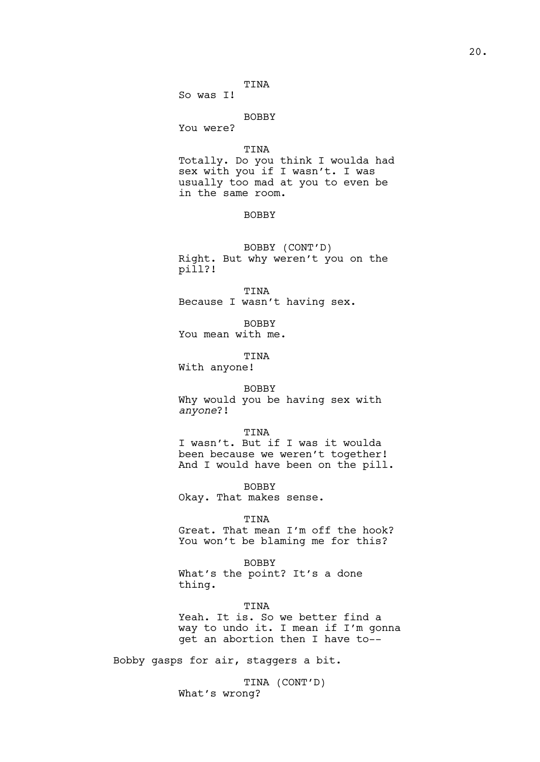So was I!

# BOBBY

You were?

# TINA

Totally. Do you think I woulda had sex with you if I wasn't. I was usually too mad at you to even be in the same room.

# **BOBBY**

BOBBY (CONT'D) Right. But why weren't you on the pill?!

TINA Because I wasn't having sex.

BOBBY You mean with me.

TINA

With anyone!

### BOBBY

Why would you be having sex with *anyone*?!

TINA

I wasn't. But if I was it woulda been because we weren't together! And I would have been on the pill.

BOBBY Okay. That makes sense.

### TINA

Great. That mean I'm off the hook? You won't be blaming me for this?

#### BOBBY

What's the point? It's a done thing.

TINA Yeah. It is. So we better find a way to undo it. I mean if I'm gonna get an abortion then I have to--

Bobby gasps for air, staggers a bit.

TINA (CONT'D) What's wrong?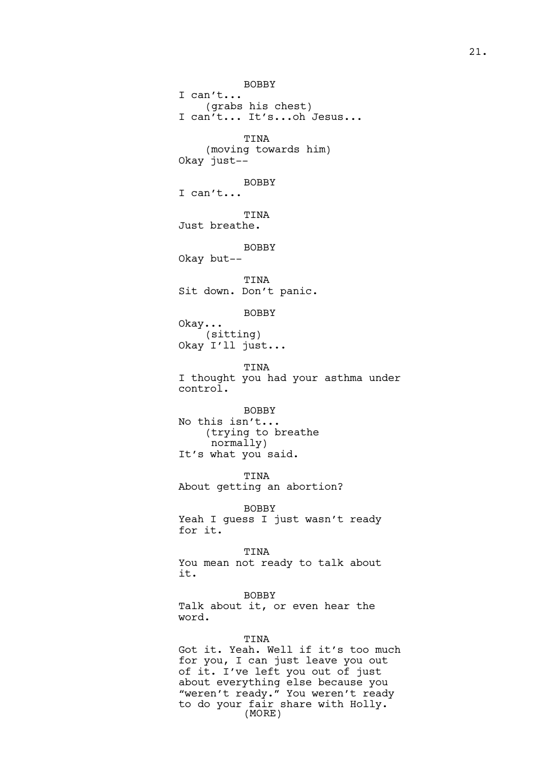BOBBY I can't... (grabs his chest) I can't... It's...oh Jesus... TINA (moving towards him) Okay just-- BOBBY I can't... TINA Just breathe. BOBBY Okay but-- TINA Sit down. Don't panic. BOBBY Okay... (sitting) Okay I'll just... TINA I thought you had your asthma under control. BOBBY No this isn't... (trying to breathe normally) It's what you said. TINA About getting an abortion? BOBBY Yeah I guess I just wasn't ready for it. TINA You mean not ready to talk about it. BOBBY Talk about it, or even hear the word. TINA Got it. Yeah. Well if it's too much for you, I can just leave you out of it. I've left you out of just about everything else because you "weren't ready." You weren't ready to do your fair share with Holly.

(MORE)

21.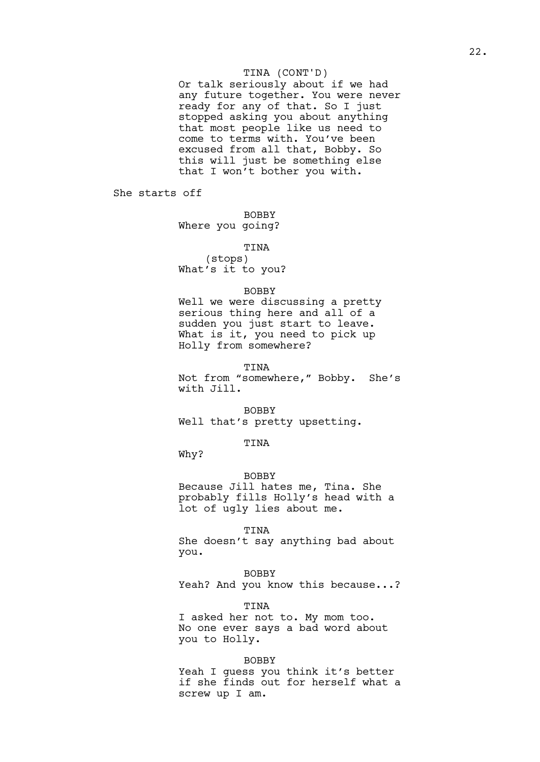# TINA (CONT'D)

Or talk seriously about if we had any future together. You were never ready for any of that. So I just stopped asking you about anything that most people like us need to come to terms with. You've been excused from all that, Bobby. So this will just be something else that I won't bother you with.

She starts off

BOBBY

Where you going?

TINA

(stops) What's it to you?

# **BOBBY**

Well we were discussing a pretty serious thing here and all of a sudden you just start to leave. What is it, you need to pick up Holly from somewhere?

### TINA

Not from "somewhere," Bobby. She's with Jill.

BOBBY Well that's pretty upsetting.

TINA

Why?

# BOBBY

Because Jill hates me, Tina. She probably fills Holly's head with a lot of ugly lies about me.

TINA

She doesn't say anything bad about you.

BOBBY

Yeah? And you know this because...?

TINA

I asked her not to. My mom too. No one ever says a bad word about you to Holly.

# BOBBY

Yeah I guess you think it's better if she finds out for herself what a screw up I am.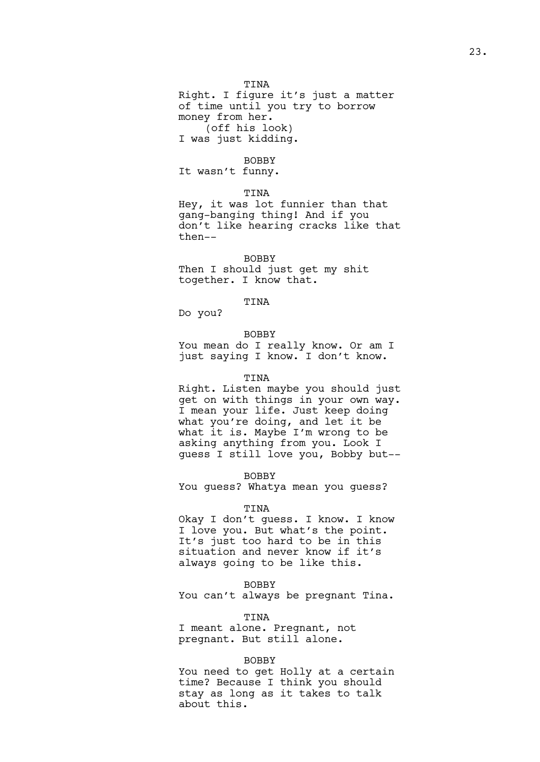Right. I figure it's just a matter of time until you try to borrow money from her. (off his look) I was just kidding.

# BOBBY

It wasn't funny.

# TINA

Hey, it was lot funnier than that gang-banging thing! And if you don't like hearing cracks like that then--

### BOBBY

Then I should just get my shit together. I know that.

TINA

Do you?

#### BOBBY

You mean do I really know. Or am I just saying I know. I don't know.

#### TINA

Right. Listen maybe you should just get on with things in your own way. I mean your life. Just keep doing what you're doing, and let it be what it is. Maybe I'm wrong to be asking anything from you. Look I guess I still love you, Bobby but--

### BOBBY

You guess? Whatya mean you guess?

# TINA

Okay I don't guess. I know. I know I love you. But what's the point. It's just too hard to be in this situation and never know if it's always going to be like this.

### BOBBY

You can't always be pregnant Tina.

#### TINA

I meant alone. Pregnant, not pregnant. But still alone.

# BOBBY

You need to get Holly at a certain time? Because I think you should stay as long as it takes to talk about this.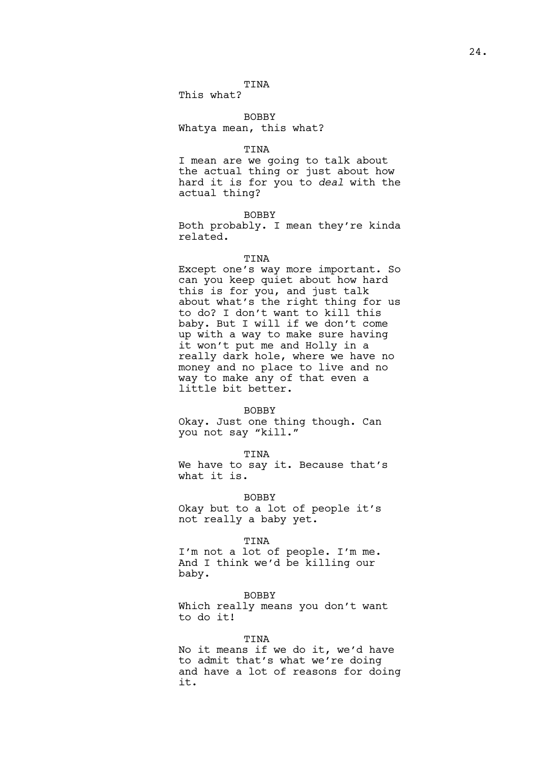This what?

BOBBY Whatya mean, this what?

# TINA

I mean are we going to talk about the actual thing or just about how hard it is for you to *deal* with the actual thing?

# BOBBY

Both probably. I mean they're kinda related.

### TINA

Except one's way more important. So can you keep quiet about how hard this is for you, and just talk about what's the right thing for us to do? I don't want to kill this baby. But I will if we don't come up with a way to make sure having it won't put me and Holly in a really dark hole, where we have no money and no place to live and no way to make any of that even a little bit better.

#### BOBBY

Okay. Just one thing though. Can you not say "kill."

# TINA

We have to say it. Because that's what it is.

BOBBY Okay but to a lot of people it's not really a baby yet.

### TINA

I'm not a lot of people. I'm me. And I think we'd be killing our baby.

BOBBY Which really means you don't want to do it!

# TINA

No it means if we do it, we'd have to admit that's what we're doing and have a lot of reasons for doing it.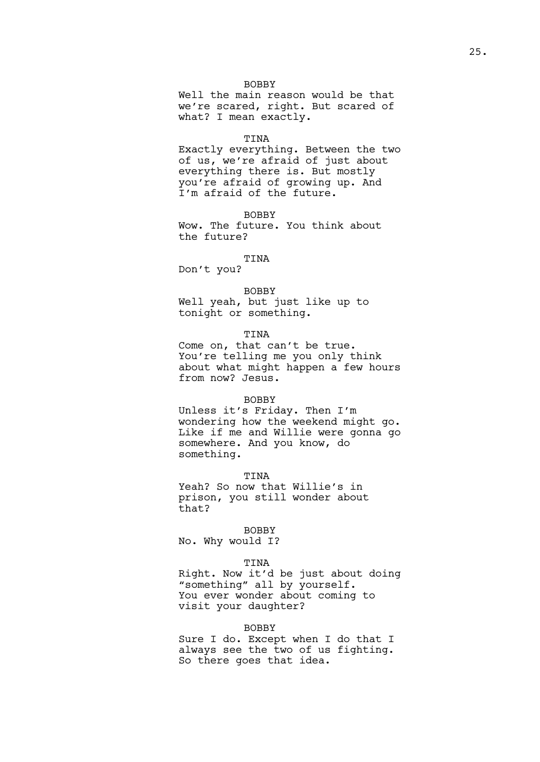Well the main reason would be that we're scared, right. But scared of what? I mean exactly.

#### TINA

Exactly everything. Between the two of us, we're afraid of just about everything there is. But mostly you're afraid of growing up. And I'm afraid of the future.

# BOBBY

Wow. The future. You think about the future?

# TINA

Don't you?

# BOBBY

Well yeah, but just like up to tonight or something.

# TINA

Come on, that can't be true. You're telling me you only think about what might happen a few hours from now? Jesus.

# BOBBY

Unless it's Friday. Then I'm wondering how the weekend might go. Like if me and Willie were gonna go somewhere. And you know, do something.

### **TINA**

Yeah? So now that Willie's in prison, you still wonder about that?

### BOBBY

No. Why would I?

### TINA

Right. Now it'd be just about doing "something" all by yourself. You ever wonder about coming to visit your daughter?

### BOBBY

Sure I do. Except when I do that I always see the two of us fighting. So there goes that idea.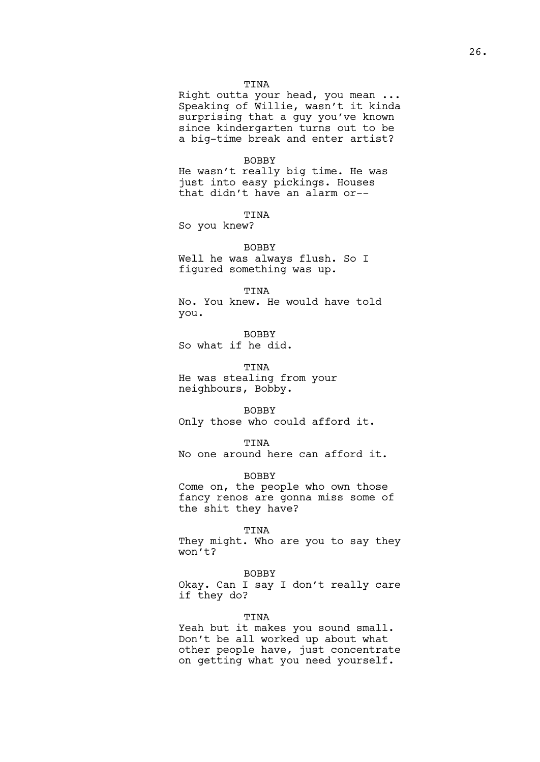Right outta your head, you mean ... Speaking of Willie, wasn't it kinda surprising that a guy you've known since kindergarten turns out to be a big-time break and enter artist?

### BOBBY

He wasn't really big time. He was just into easy pickings. Houses that didn't have an alarm or--

# **TINA**

So you knew?

# BOBBY Well he was always flush. So I figured something was up.

TINA No. You knew. He would have told you.

BOBBY So what if he did.

TINA He was stealing from your neighbours, Bobby.

### BOBBY

Only those who could afford it.

### TINA

No one around here can afford it.

# BOBBY

Come on, the people who own those fancy renos are gonna miss some of the shit they have?

### TINA

They might. Who are you to say they won't?

### BOBBY

Okay. Can I say I don't really care if they do?

### TINA

Yeah but it makes you sound small. Don't be all worked up about what other people have, just concentrate on getting what you need yourself.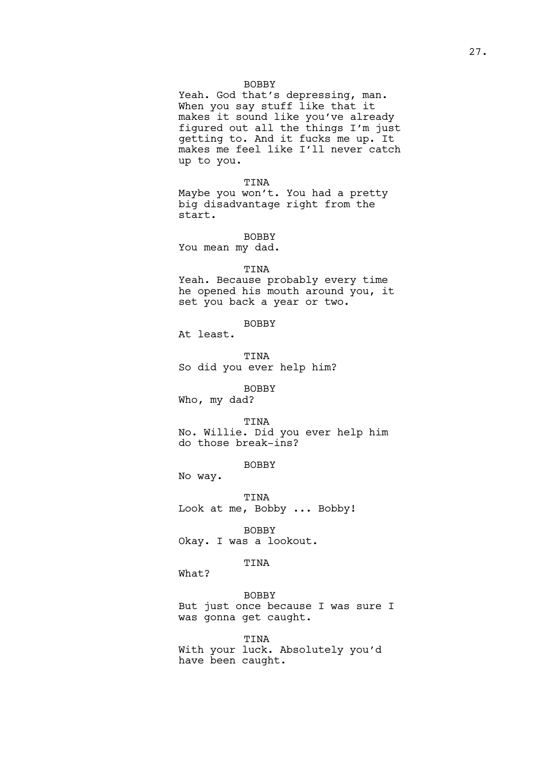Yeah. God that's depressing, man. When you say stuff like that it makes it sound like you've already figured out all the things I'm just getting to. And it fucks me up. It makes me feel like I'll never catch up to you.

TINA Maybe you won't. You had a pretty big disadvantage right from the start.

BOBBY You mean my dad.

# TINA

Yeah. Because probably every time he opened his mouth around you, it set you back a year or two.

BOBBY

At least.

TINA So did you ever help him?

BOBBY

Who, my dad?

TINA

No. Willie. Did you ever help him do those break-ins?

BOBBY

No way.

TINA Look at me, Bobby ... Bobby!

BOBBY Okay. I was a lookout.

# TINA

What?

BOBBY But just once because I was sure I was gonna get caught.

TINA With your luck. Absolutely you'd have been caught.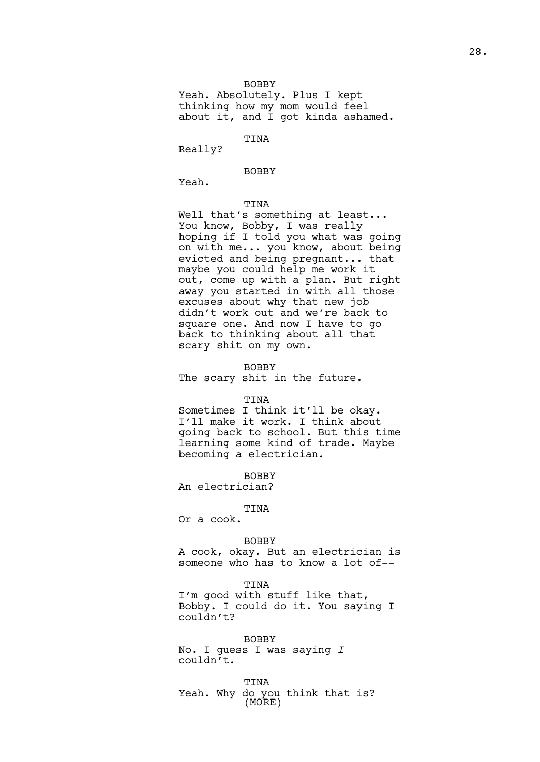Yeah. Absolutely. Plus I kept thinking how my mom would feel about it, and I got kinda ashamed.

### TINA

Really?

# BOBBY

Yeah.

# TINA

Well that's something at least... You know, Bobby, I was really hoping if I told you what was going on with me... you know, about being evicted and being pregnant... that maybe you could help me work it out, come up with a plan. But right away you started in with all those excuses about why that new job didn't work out and we're back to square one. And now I have to go back to thinking about all that scary shit on my own.

# BOBBY

The scary shit in the future.

### TINA

Sometimes I think it'll be okay. I'll make it work. I think about going back to school. But this time learning some kind of trade. Maybe becoming a electrician.

**BOBBY** 

An electrician?

#### TINA

Or a cook.

### BOBBY

A cook, okay. But an electrician is someone who has to know a lot of--

#### TINA

I'm good with stuff like that, Bobby. I could do it. You saying I couldn't?

BOBBY No. I guess I was saying *I*  couldn't.

TINA Yeah. Why do you think that is? (MORE)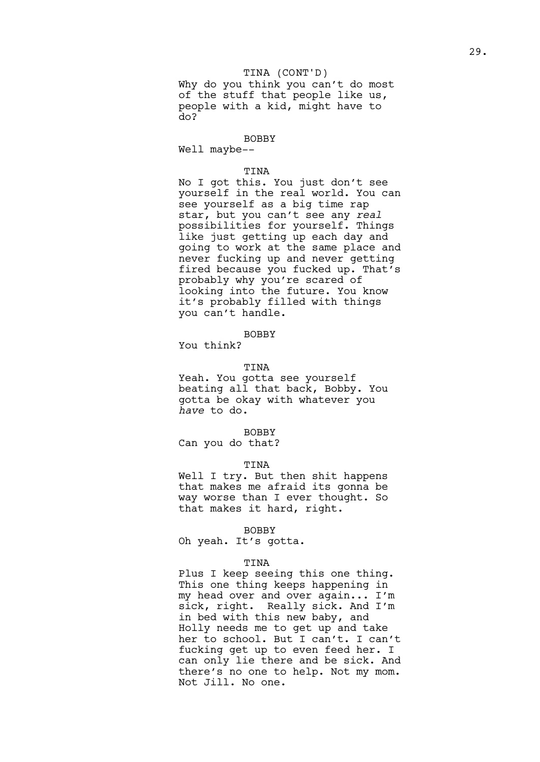# TINA (CONT'D)

Why do you think you can't do most of the stuff that people like us, people with a kid, might have to do?

### BOBBY

Well maybe--

### TINA

No I got this. You just don't see yourself in the real world. You can see yourself as a big time rap star, but you can't see any *real* possibilities for yourself. Things like just getting up each day and going to work at the same place and never fucking up and never getting fired because you fucked up. That's probably why you're scared of looking into the future. You know it's probably filled with things you can't handle.

# BOBBY

You think?

# TINA

Yeah. You gotta see yourself beating all that back, Bobby. You gotta be okay with whatever you *have* to do.

### BOBBY

Can you do that?

### TINA

Well I try. But then shit happens that makes me afraid its gonna be way worse than I ever thought. So that makes it hard, right.

#### BOBBY

Oh yeah. It's gotta.

### TINA

Plus I keep seeing this one thing. This one thing keeps happening in my head over and over again... I'm sick, right. Really sick. And I'm in bed with this new baby, and Holly needs me to get up and take her to school. But I can't. I can't fucking get up to even feed her. I can only lie there and be sick. And there's no one to help. Not my mom. Not Jill. No one.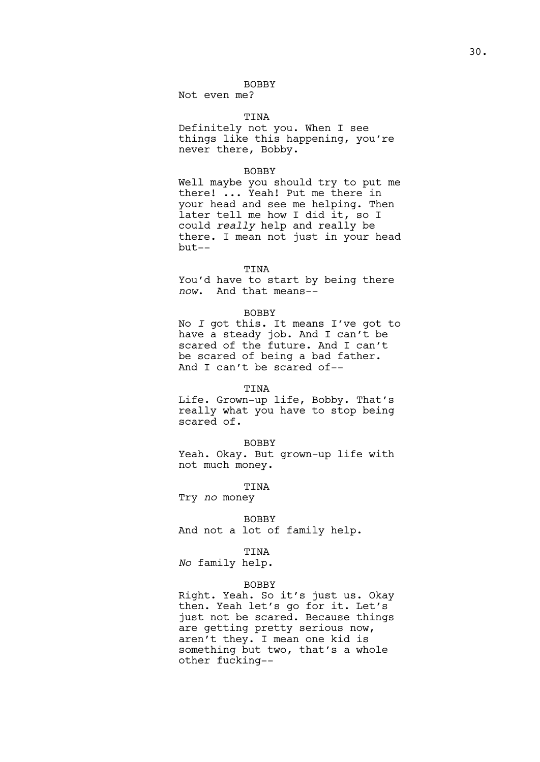Not even me?

# TINA

Definitely not you. When I see things like this happening, you're never there, Bobby.

### BOBBY

Well maybe you should try to put me there! ... Yeah! Put me there in your head and see me helping. Then later tell me how I did it, so I could *really* help and really be there. I mean not just in your head but--

# TINA

You'd have to start by being there *now*. And that means--

### BOBBY

No *I* got this. It means I've got to have a steady job. And I can't be scared of the future. And I can't be scared of being a bad father. And I can't be scared of--

# TINA

Life. Grown-up life, Bobby. That's really what you have to stop being scared of.

### BOBBY

Yeah. Okay. But grown-up life with not much money.

### TINA

Try *no* money

BOBBY And not a lot of family help.

# TINA

*No* family help.

### BOBBY

Right. Yeah. So it's just us. Okay then. Yeah let's go for it. Let's just not be scared. Because things are getting pretty serious now, aren't they. I mean one kid is something but two, that's a whole other fucking--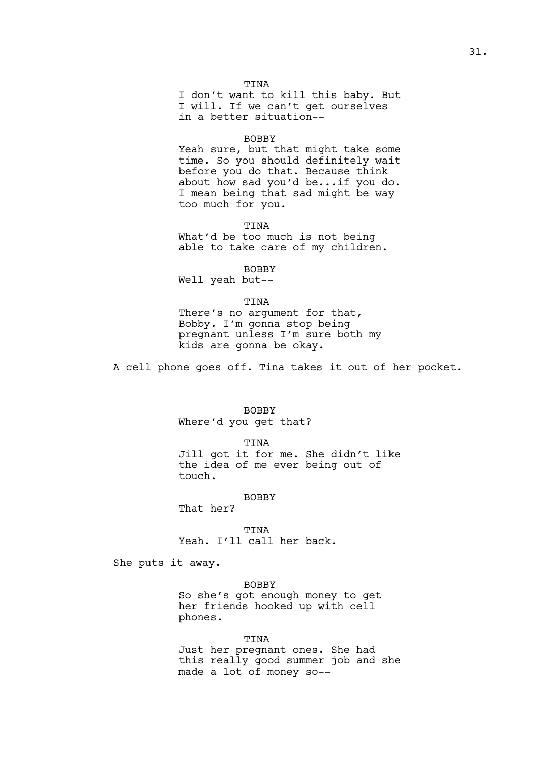I don't want to kill this baby. But I will. If we can't get ourselves in a better situation--

### BOBBY

Yeah sure, but that might take some time. So you should definitely wait before you do that. Because think about how sad you'd be...if you do. I mean being that sad might be way too much for you.

TINA What'd be too much is not being able to take care of my children.

BOBBY

Well yeah but--

#### TINA

There's no argument for that, Bobby. I'm gonna stop being pregnant unless I'm sure both my kids are gonna be okay.

A cell phone goes off. Tina takes it out of her pocket.

# BOBBY

Where'd you get that?

TINA

Jill got it for me. She didn't like the idea of me ever being out of touch.

# BOBBY

That her?

TINA Yeah. I'll call her back.

She puts it away.

#### BOBBY

So she's got enough money to get her friends hooked up with cell phones.

TINA Just her pregnant ones. She had this really good summer job and she made a lot of money so--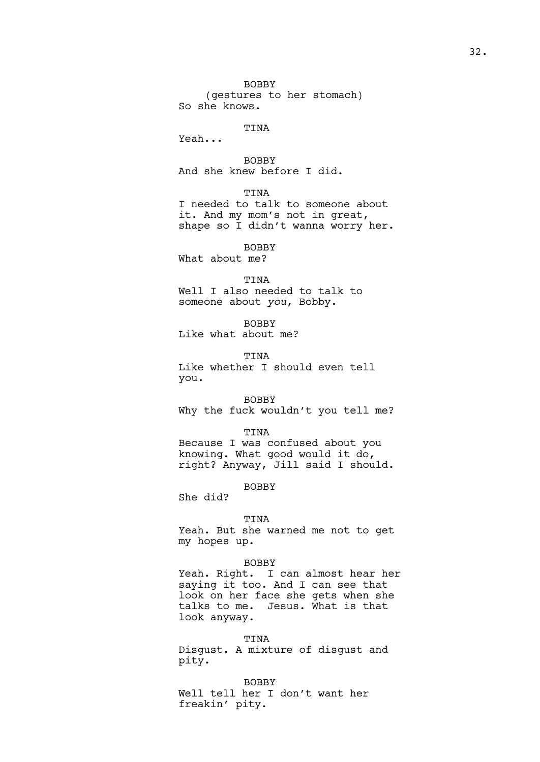BOBBY (gestures to her stomach) So she knows.

# **TINA**

Yeah...

BOBBY And she knew before I did.

# TINA

I needed to talk to someone about it. And my mom's not in great, shape so I didn't wanna worry her.

BOBBY

What about me?

### TINA

Well I also needed to talk to someone about *you*, Bobby.

BOBBY Like what about me?

TINA Like whether I should even tell you.

BOBBY Why the fuck wouldn't you tell me?

TINA Because I was confused about you knowing. What good would it do, right? Anyway, Jill said I should.

# BOBBY

She did?

#### TINA

Yeah. But she warned me not to get my hopes up.

# BOBBY

Yeah. Right. I can almost hear her saying it too. And I can see that look on her face she gets when she talks to me. Jesus. What is that look anyway.

TINA Disgust. A mixture of disgust and pity.

BOBBY Well tell her I don't want her freakin' pity.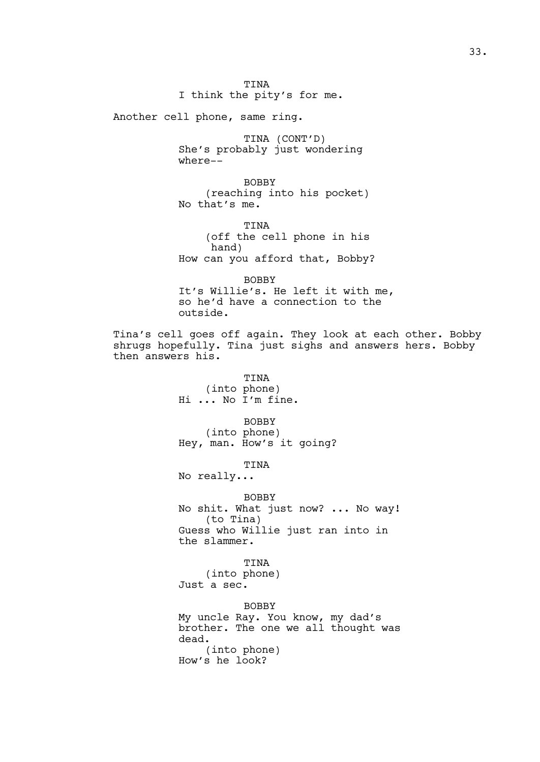Another cell phone, same ring.

TINA (CONT'D) She's probably just wondering where--

BOBBY (reaching into his pocket) No that's me.

TINA (off the cell phone in his hand) How can you afford that, Bobby?

BOBBY It's Willie's. He left it with me, so he'd have a connection to the outside.

Tina's cell goes off again. They look at each other. Bobby shrugs hopefully. Tina just sighs and answers hers. Bobby then answers his.

> TINA (into phone) Hi ... No I'm fine.

BOBBY (into phone) Hey, man. How's it going?

TINA

No really...

BOBBY No shit. What just now? ... No way! (to Tina) Guess who Willie just ran into in the slammer.

TINA (into phone) Just a sec.

BOBBY My uncle Ray. You know, my dad's brother. The one we all thought was dead. (into phone) How's he look?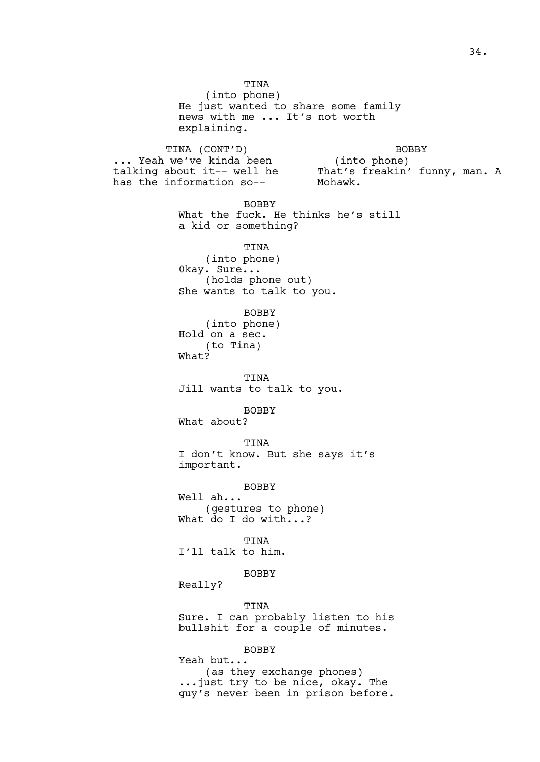TINA (into phone) He just wanted to share some family news with me ... It's not worth explaining. TINA (CONT'D) ... Yeah we've kinda been talking about it-- well he has the information so-- BOBBY (into phone) That's freakin' funny, man. A Mohawk. BOBBY What the fuck. He thinks he's still a kid or something? TINA (into phone) 0kay. Sure... (holds phone out) She wants to talk to you. BOBBY (into phone) Hold on a sec. (to Tina) What? TINA Jill wants to talk to you. BOBBY What about? TINA I don't know. But she says it's important. BOBBY Well ah... (gestures to phone) What do I do with...? TINA I'll talk to him. BOBBY Really? TINA Sure. I can probably listen to his bullshit for a couple of minutes. BOBBY Yeah but... (as they exchange phones) ...just try to be nice, okay. The guy's never been in prison before.

34.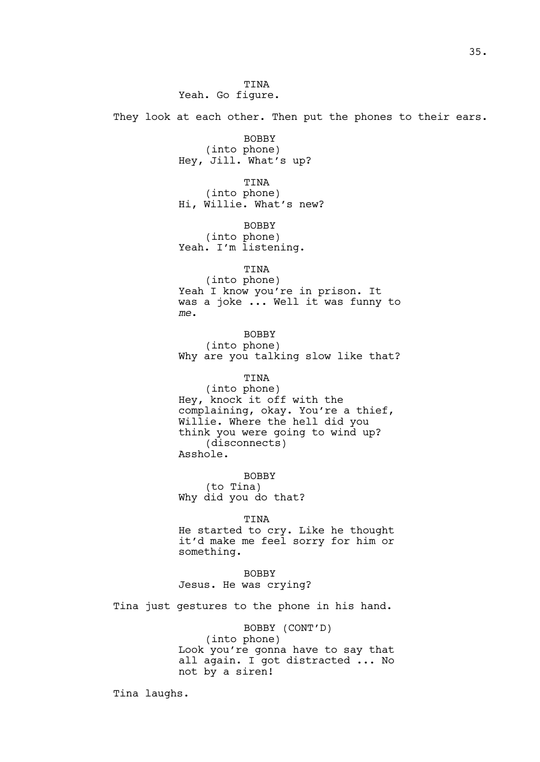They look at each other. Then put the phones to their ears.

BOBBY (into phone) Hey, Jill. What's up?

TINA (into phone) Hi, Willie. What's new?

BOBBY (into phone) Yeah. I'm listening.

TINA (into phone) Yeah I know you're in prison. It was a joke ... Well it was funny to *me*.

BOBBY (into phone) Why are you talking slow like that?

#### TINA

(into phone) Hey, knock it off with the complaining, okay. You're a thief, Willie. Where the hell did you think you were going to wind up? (disconnects) Asshole.

BOBBY (to Tina) Why did you do that?

TINA

He started to cry. Like he thought it'd make me feel sorry for him or something.

BOBBY Jesus. He was crying?

Tina just gestures to the phone in his hand.

BOBBY (CONT'D) (into phone) Look you're gonna have to say that all again. I got distracted ... No not by a siren!

Tina laughs.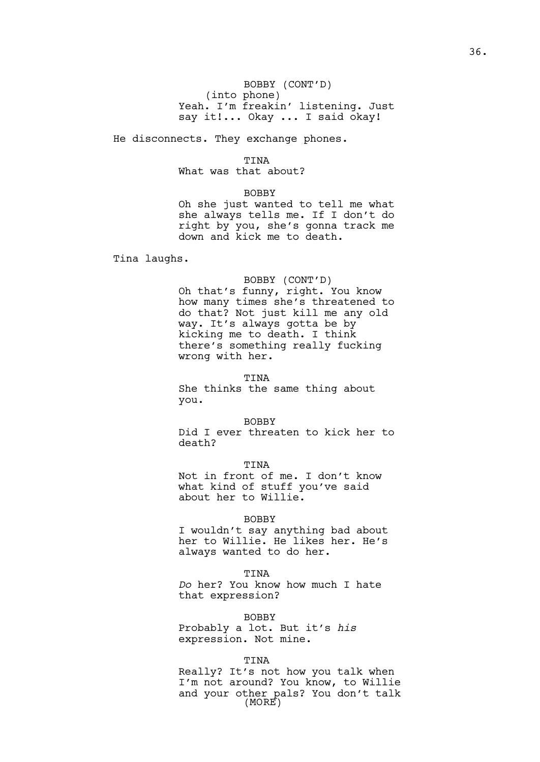# BOBBY (CONT'D) (into phone) Yeah. I'm freakin' listening. Just say it!... Okay ... I said okay!

He disconnects. They exchange phones.

# TINA

What was that about?

## BOBBY

Oh she just wanted to tell me what she always tells me. If I don't do right by you, she's gonna track me down and kick me to death.

Tina laughs.

# BOBBY (CONT'D)

Oh that's funny, right. You know how many times she's threatened to do that? Not just kill me any old way. It's always gotta be by kicking me to death. I think there's something really fucking wrong with her.

#### TINA

She thinks the same thing about you.

#### BOBBY

Did I ever threaten to kick her to death?

TINA Not in front of me. I don't know what kind of stuff you've said about her to Willie.

## BOBBY

I wouldn't say anything bad about her to Willie. He likes her. He's always wanted to do her.

## TINA

*Do* her? You know how much I hate that expression?

#### BOBBY

Probably a lot. But it's *his*  expression. Not mine.

## TINA

Really? It's not how you talk when I'm not around? You know, to Willie and your other pals? You don't talk (MORE)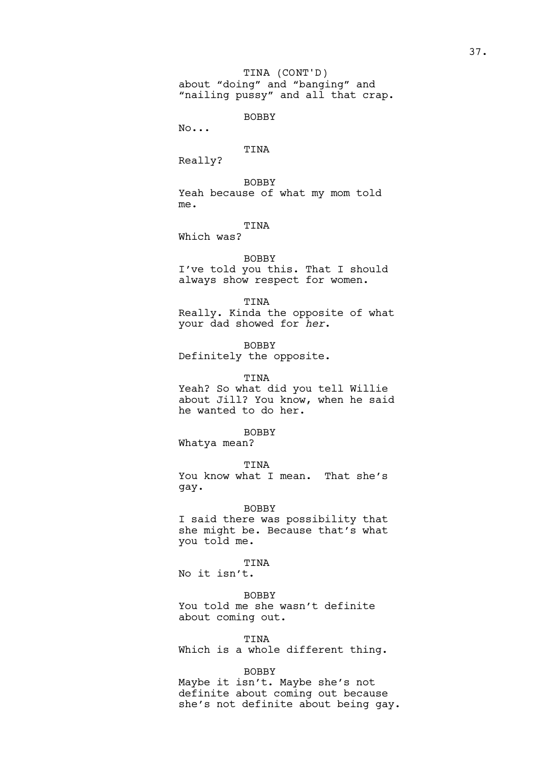BOBBY

No...

## TINA

Really?

BOBBY Yeah because of what my mom told me.

# TINA

Which was?

## BOBBY

I've told you this. That I should always show respect for women.

#### TINA

Really. Kinda the opposite of what your dad showed for *her*.

BOBBY

Definitely the opposite.

## TINA

Yeah? So what did you tell Willie about Jill? You know, when he said he wanted to do her.

## BOBBY

Whatya mean?

# TINA You know what I mean. That she's gay.

## BOBBY

I said there was possibility that she might be. Because that's what you told me.

## TINA

No it isn't.

## BOBBY

You told me she wasn't definite about coming out.

#### TINA

Which is a whole different thing.

## BOBBY

Maybe it isn't. Maybe she's not definite about coming out because she's not definite about being gay.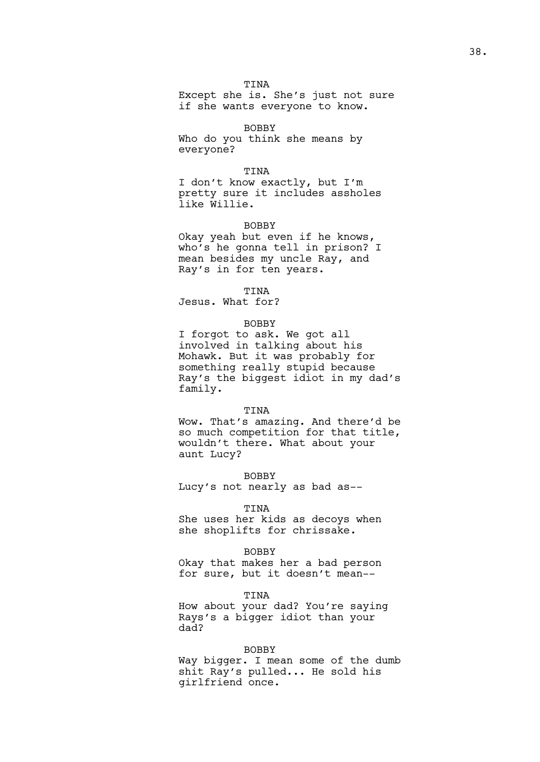Except she is. She's just not sure if she wants everyone to know.

BOBBY

Who do you think she means by everyone?

## TINA

I don't know exactly, but I'm pretty sure it includes assholes like Willie.

#### BOBBY

Okay yeah but even if he knows, who's he gonna tell in prison? I mean besides my uncle Ray, and Ray's in for ten years.

## TINA

Jesus. What for?

## BOBBY

I forgot to ask. We got all involved in talking about his Mohawk. But it was probably for something really stupid because Ray's the biggest idiot in my dad's family.

#### TINA

Wow. That's amazing. And there'd be so much competition for that title, wouldn't there. What about your aunt Lucy?

BOBBY Lucy's not nearly as bad as--

#### TINA

She uses her kids as decoys when she shoplifts for chrissake.

#### BOBBY

Okay that makes her a bad person for sure, but it doesn't mean--

## TINA

How about your dad? You're saying Rays's a bigger idiot than your dad?

#### BOBBY

Way bigger. I mean some of the dumb shit Ray's pulled... He sold his girlfriend once.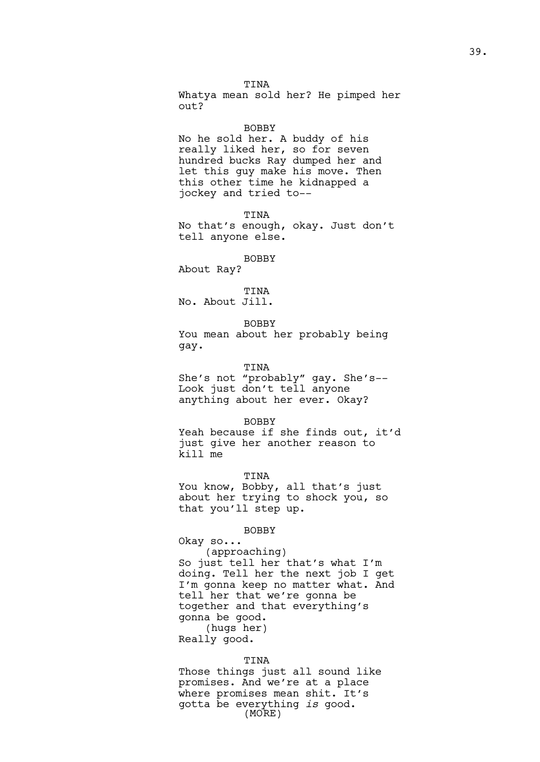TINA Whatya mean sold her? He pimped her out?

#### **BOBBY**

No he sold her. A buddy of his really liked her, so for seven hundred bucks Ray dumped her and let this guy make his move. Then this other time he kidnapped a jockey and tried to--

TINA

No that's enough, okay. Just don't tell anyone else.

#### BOBBY

About Ray?

TINA No. About Jill.

BOBBY

You mean about her probably being gay.

## TINA

She's not "probably" gay. She's-- Look just don't tell anyone anything about her ever. Okay?

BOBBY

Yeah because if she finds out, it'd just give her another reason to kill me

TINA

You know, Bobby, all that's just about her trying to shock you, so that you'll step up.

## BOBBY

Okay so... (approaching) So just tell her that's what I'm doing. Tell her the next job I get I'm gonna keep no matter what. And tell her that we're gonna be together and that everything's gonna be good. (hugs her) Really good.

## TINA

Those things just all sound like promises. And we're at a place where promises mean shit. It's gotta be everything *is* good. (MORE)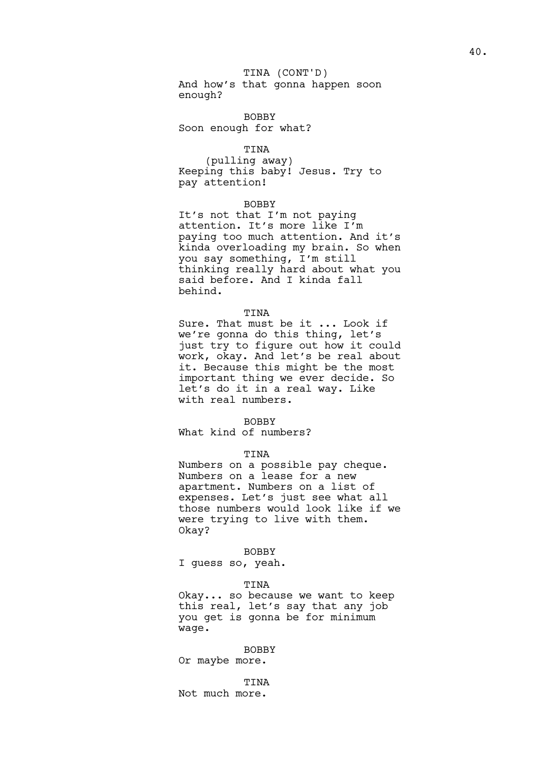# TINA (CONT'D)

And how's that gonna happen soon enough?

BOBBY Soon enough for what?

## TINA

(pulling away) Keeping this baby! Jesus. Try to pay attention!

## BOBBY

It's not that I'm not paying attention. It's more like I'm paying too much attention. And it's kinda overloading my brain. So when you say something, I'm still thinking really hard about what you said before. And I kinda fall behind.

## TINA

Sure. That must be it ... Look if we're gonna do this thing, let's just try to figure out how it could work, okay. And let's be real about it. Because this might be the most important thing we ever decide. So let's do it in a real way. Like with real numbers.

## BOBBY

What kind of numbers?

## TINA

Numbers on a possible pay cheque. Numbers on a lease for a new apartment. Numbers on a list of expenses. Let's just see what all those numbers would look like if we were trying to live with them. Okay?

## BOBBY

I guess so, yeah.

#### TINA

Okay... so because we want to keep this real, let's say that any job you get is gonna be for minimum wage.

## BOBBY

Or maybe more.

TINA Not much more.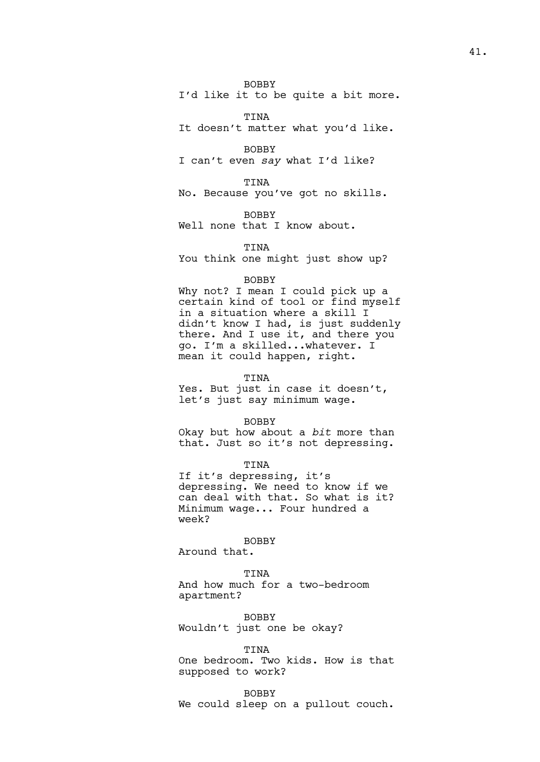BOBBY

I'd like it to be quite a bit more.

TINA

It doesn't matter what you'd like.

BOBBY

I can't even *say* what I'd like?

TINA

No. Because you've got no skills.

BOBBY

Well none that I know about.

TINA You think one might just show up?

## BOBBY

Why not? I mean I could pick up a certain kind of tool or find myself in a situation where a skill I didn't know I had, is just suddenly there. And I use it, and there you go. I'm a skilled...whatever. I mean it could happen, right.

TINA

Yes. But just in case it doesn't, let's just say minimum wage.

#### BOBBY

Okay but how about a *bit* more than that. Just so it's not depressing.

TINA

If it's depressing, it's depressing. We need to know if we can deal with that. So what is it? Minimum wage... Four hundred a week?

BOBBY Around that.

## TINA

And how much for a two-bedroom apartment?

BOBBY Wouldn't just one be okay?

#### TINA

One bedroom. Two kids. How is that supposed to work?

## BOBBY

We could sleep on a pullout couch.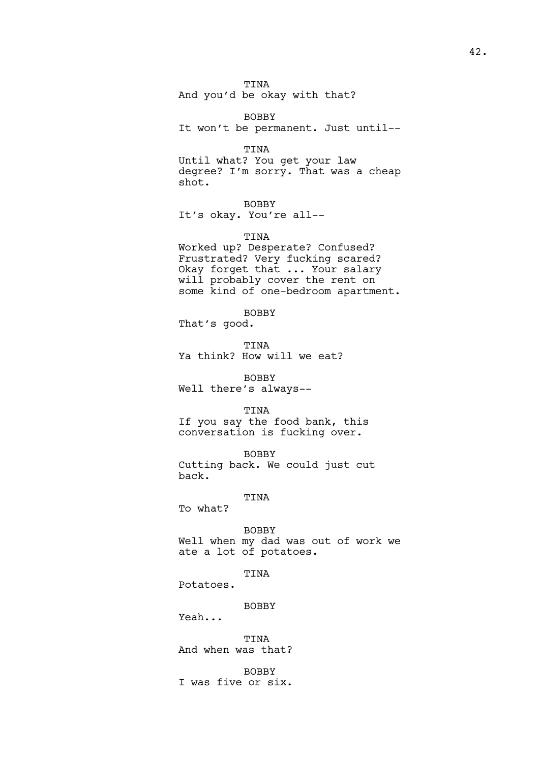TINA And you'd be okay with that?

BOBBY It won't be permanent. Just until--

TINA

Until what? You get your law degree? I'm sorry. That was a cheap shot.

BOBBY It's okay. You're all--

TINA

Worked up? Desperate? Confused? Frustrated? Very fucking scared? Okay forget that ... Your salary will probably cover the rent on some kind of one-bedroom apartment.

BOBBY

That's good.

TINA Ya think? How will we eat?

BOBBY Well there's always--

TINA

If you say the food bank, this conversation is fucking over.

BOBBY Cutting back. We could just cut back.

TINA

To what?

BOBBY Well when my dad was out of work we ate a lot of potatoes.

TINA

Potatoes.

BOBBY

Yeah...

TINA And when was that?

BOBBY I was five or six.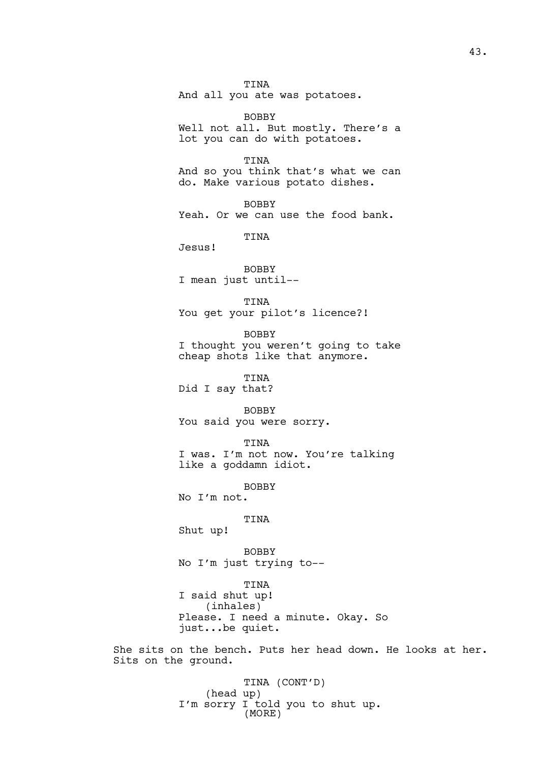TINA And all you ate was potatoes.

BOBBY Well not all. But mostly. There's a lot you can do with potatoes.

TINA And so you think that's what we can do. Make various potato dishes.

BOBBY Yeah. Or we can use the food bank.

TINA

Jesus!

BOBBY I mean just until--

TINA You get your pilot's licence?!

BOBBY I thought you weren't going to take cheap shots like that anymore.

TINA Did I say that?

BOBBY You said you were sorry.

TINA I was. I'm not now. You're talking like a goddamn idiot.

BOBBY

No I'm not.

TINA

Shut up!

BOBBY No I'm just trying to--

TINA I said shut up! (inhales) Please. I need a minute. Okay. So just...be quiet.

She sits on the bench. Puts her head down. He looks at her. Sits on the ground.

> TINA (CONT'D) (head up) I'm sorry I told you to shut up. (MORE)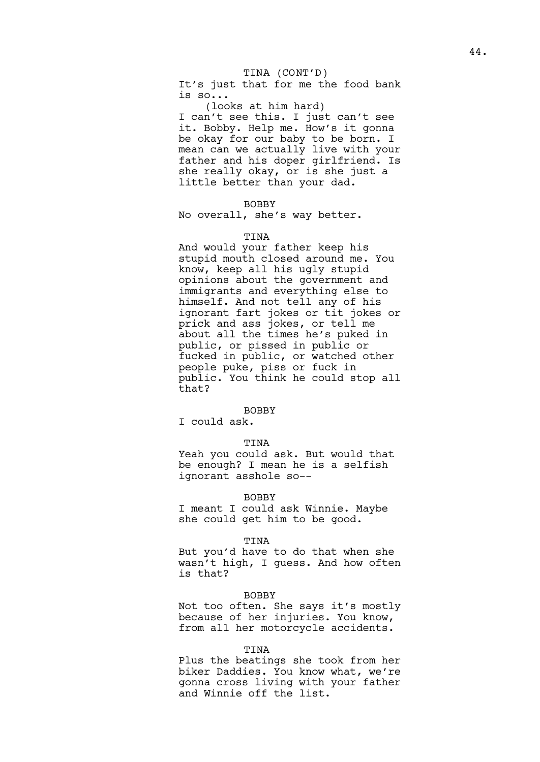## TINA (CONT'D)

It's just that for me the food bank is so...

(looks at him hard) I can't see this. I just can't see it. Bobby. Help me. How's it gonna be okay for our baby to be born. I mean can we actually live with your father and his doper girlfriend. Is she really okay, or is she just a little better than your dad.

## BOBBY

No overall, she's way better.

#### TINA

And would your father keep his stupid mouth closed around me. You know, keep all his ugly stupid opinions about the government and immigrants and everything else to himself. And not tell any of his ignorant fart jokes or tit jokes or prick and ass jokes, or tell me about all the times he's puked in public, or pissed in public or fucked in public, or watched other people puke, piss or fuck in public. You think he could stop all that?

## BOBBY

I could ask.

## TINA

Yeah you could ask. But would that be enough? I mean he is a selfish ignorant asshole so--

#### BOBBY

I meant I could ask Winnie. Maybe she could get him to be good.

#### TINA

But you'd have to do that when she wasn't high, I guess. And how often is that?

#### BOBBY

Not too often. She says it's mostly because of her injuries. You know, from all her motorcycle accidents.

#### TINA

Plus the beatings she took from her biker Daddies. You know what, we're gonna cross living with your father and Winnie off the list.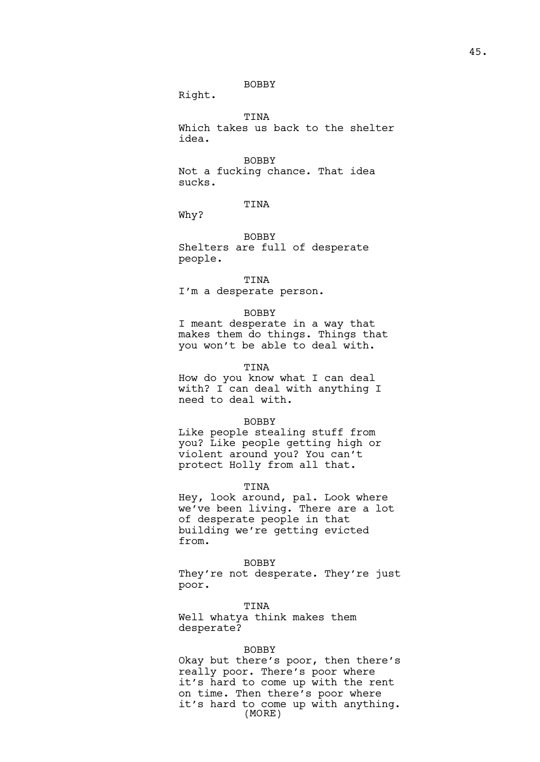## BOBBY

Right.

TINA

Which takes us back to the shelter idea.

BOBBY

Not a fucking chance. That idea sucks.

TINA

Why?

BOBBY

Shelters are full of desperate people.

## TINA

I'm a desperate person.

## BOBBY

I meant desperate in a way that makes them do things. Things that you won't be able to deal with.

## TINA

How do you know what I can deal with? I can deal with anything I need to deal with.

## BOBBY

Like people stealing stuff from you? Like people getting high or violent around you? You can't protect Holly from all that.

#### TINA

Hey, look around, pal. Look where we've been living. There are a lot of desperate people in that building we're getting evicted from.

BOBBY

They're not desperate. They're just poor.

TINA Well whatya think makes them desperate?

#### BOBBY

Okay but there's poor, then there's really poor. There's poor where it's hard to come up with the rent on time. Then there's poor where it's hard to come up with anything. (MORE)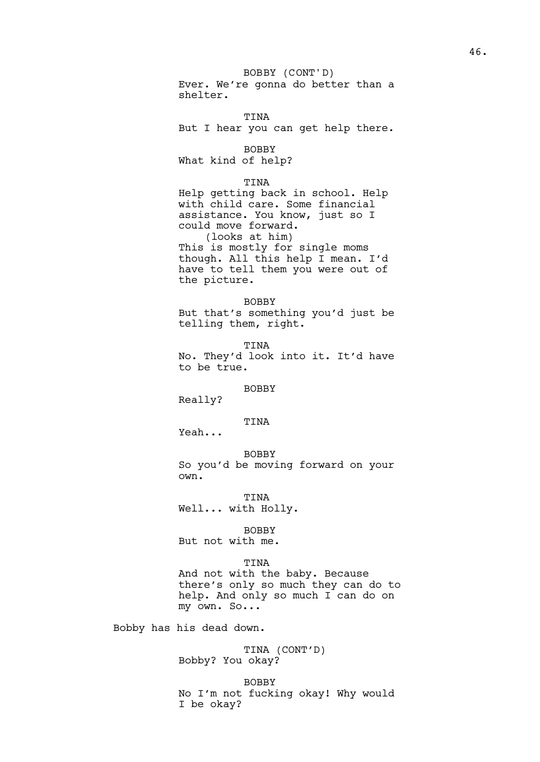Ever. We're gonna do better than a shelter. BOBBY (CONT'D)

TINA But I hear you can get help there.

BOBBY

What kind of help?

## TINA

Help getting back in school. Help with child care. Some financial assistance. You know, just so I could move forward. (looks at him) This is mostly for single moms though. All this help I mean. I'd have to tell them you were out of the picture.

BOBBY But that's something you'd just be telling them, right.

TINA No. They'd look into it. It'd have to be true.

## BOBBY

Really?

# TINA

Yeah...

BOBBY So you'd be moving forward on your own.

TINA Well... with Holly.

## BOBBY

But not with me.

## TINA

And not with the baby. Because there's only so much they can do to help. And only so much I can do on my own. So...

Bobby has his dead down.

TINA (CONT'D) Bobby? You okay?

BOBBY No I'm not fucking okay! Why would I be okay?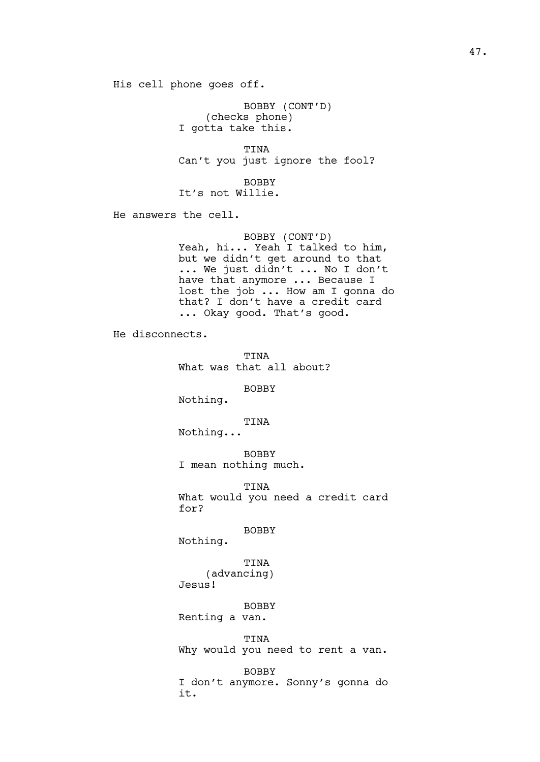His cell phone goes off.

BOBBY (CONT'D) (checks phone) I gotta take this.

TINA Can't you just ignore the fool?

BOBBY It's not Willie.

He answers the cell.

BOBBY (CONT'D) Yeah, hi... Yeah I talked to him, but we didn't get around to that ... We just didn't ... No I don't have that anymore ... Because I lost the job ... How am I gonna do that? I don't have a credit card ... Okay good. That's good.

He disconnects.

TINA What was that all about? BOBBY Nothing. TINA Nothing... BOBBY I mean nothing much. TINA What would you need a credit card for? BOBBY Nothing. TINA (advancing) Jesus! BOBBY

Renting a van.

TINA

Why would you need to rent a van.

BOBBY I don't anymore. Sonny's gonna do it.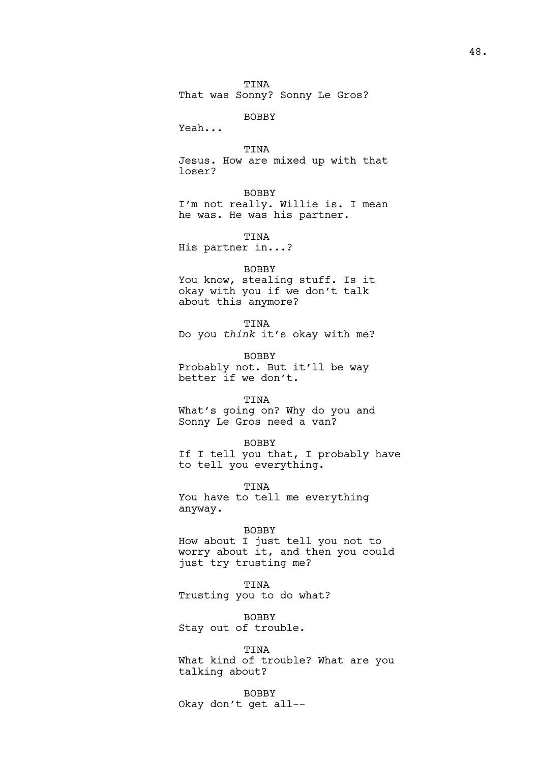TINA That was Sonny? Sonny Le Gros?

# BOBBY

Yeah...

TINA

Jesus. How are mixed up with that loser?

## BOBBY

I'm not really. Willie is. I mean he was. He was his partner.

# TINA

His partner in...?

## BOBBY

You know, stealing stuff. Is it okay with you if we don't talk about this anymore?

## TINA

Do you *think* it's okay with me?

BOBBY Probably not. But it'll be way better if we don't.

## TINA

What's going on? Why do you and Sonny Le Gros need a van?

#### BOBBY

If I tell you that, I probably have to tell you everything.

**TINA** 

You have to tell me everything anyway.

## BOBBY

How about I just tell you not to worry about it, and then you could just try trusting me?

#### TINA

Trusting you to do what?

BOBBY Stay out of trouble.

TINA What kind of trouble? What are you talking about?

BOBBY Okay don't get all--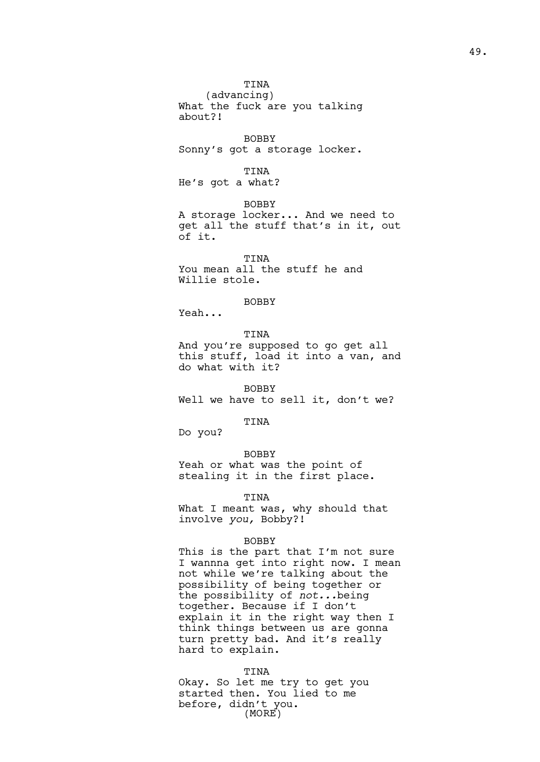(advancing) What the fuck are you talking about?!

BOBBY Sonny's got a storage locker.

TINA He's got a what?

BOBBY A storage locker... And we need to get all the stuff that's in it, out of it.

TINA You mean all the stuff he and Willie stole.

BOBBY

Yeah...

TINA And you're supposed to go get all this stuff, load it into a van, and do what with it?

BOBBY Well we have to sell it, don't we?

TINA

Do you?

BOBBY

Yeah or what was the point of stealing it in the first place.

TINA

What I meant was, why should that involve *you,* Bobby?!

## BOBBY

This is the part that I'm not sure I wannna get into right now. I mean not while we're talking about the possibility of being together or the possibility of *not...*being together. Because if I don't explain it in the right way then I think things between us are gonna turn pretty bad. And it's really hard to explain.

#### TINA

Okay. So let me try to get you started then. You lied to me before, didn't you. (MORE)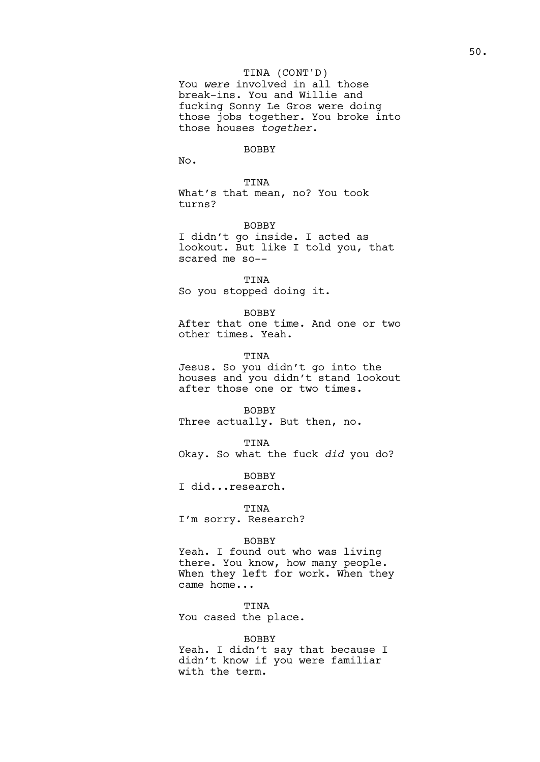## TINA (CONT'D)

You *were* involved in all those break-ins. You and Willie and fucking Sonny Le Gros were doing those jobs together. You broke into those houses *together*.

## BOBBY

No.

TINA What's that mean, no? You took turns?

BOBBY

I didn't go inside. I acted as lookout. But like I told you, that scared me so--

TINA So you stopped doing it.

BOBBY

After that one time. And one or two other times. Yeah.

TINA Jesus. So you didn't go into the houses and you didn't stand lookout after those one or two times.

BOBBY Three actually. But then, no.

TINA Okay. So what the fuck *did* you do?

BOBBY I did...research.

TINA I'm sorry. Research?

#### BOBBY

Yeah. I found out who was living there. You know, how many people. When they left for work. When they came home...

TINA You cased the place.

## BOBBY

Yeah. I didn't say that because I didn't know if you were familiar with the term.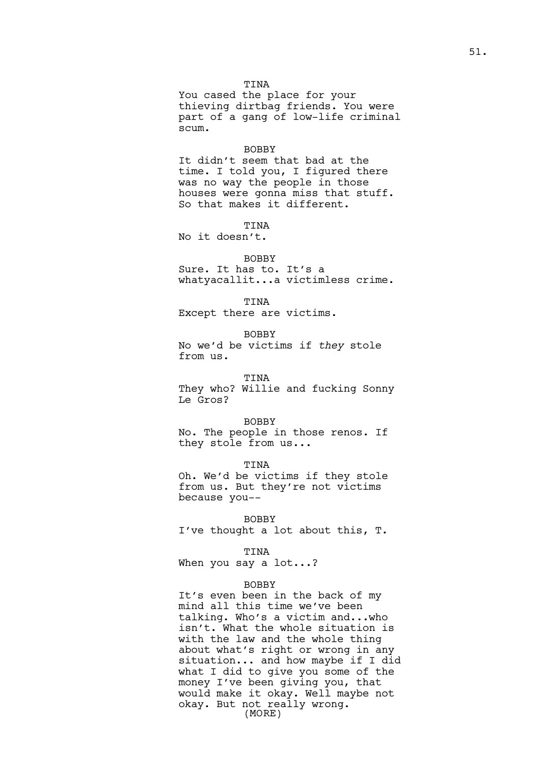You cased the place for your thieving dirtbag friends. You were part of a gang of low-life criminal scum.

#### BOBBY

It didn't seem that bad at the time. I told you, I figured there was no way the people in those houses were gonna miss that stuff. So that makes it different.

TINA

No it doesn't.

#### BOBBY

Sure. It has to. It's a whatyacallit...a victimless crime.

TINA

Except there are victims.

BOBBY No we'd be victims if *they* stole from us.

TINA They who? Willie and fucking Sonny Le Gros?

#### BOBBY

No. The people in those renos. If they stole from us...

TINA

Oh. We'd be victims if they stole from us. But they're not victims because you--

BOBBY

I've thought a lot about this, T.

## TINA

When you say a lot...?

#### BOBBY

It's even been in the back of my mind all this time we've been talking. Who's a victim and...who isn't. What the whole situation is with the law and the whole thing about what's right or wrong in any situation... and how maybe if I did what I did to give you some of the money I've been giving you, that would make it okay. Well maybe not okay. But not really wrong. (MORE)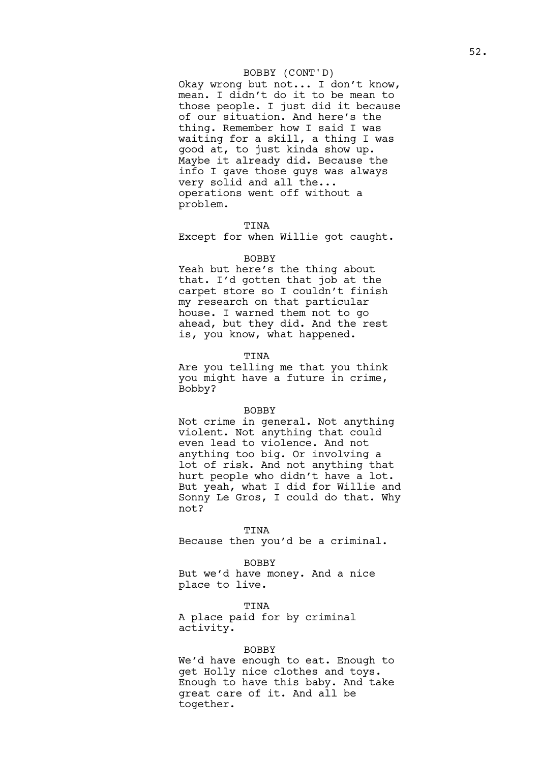## BOBBY (CONT'D)

Okay wrong but not... I don't know, mean. I didn't do it to be mean to those people. I just did it because of our situation. And here's the thing. Remember how I said I was waiting for a skill, a thing I was good at, to just kinda show up. Maybe it already did. Because the info I gave those guys was always very solid and all the... operations went off without a problem.

#### TINA

Except for when Willie got caught.

## BOBBY

Yeah but here's the thing about that. I'd gotten that job at the carpet store so I couldn't finish my research on that particular house. I warned them not to go ahead, but they did. And the rest is, you know, what happened.

## TINA

Are you telling me that you think you might have a future in crime, Bobby?

#### BOBBY

Not crime in general. Not anything violent. Not anything that could even lead to violence. And not anything too big. Or involving a lot of risk. And not anything that hurt people who didn't have a lot. But yeah, what I did for Willie and Sonny Le Gros, I could do that. Why not?

TINA

Because then you'd be a criminal.

BOBBY

But we'd have money. And a nice place to live.

TINA A place paid for by criminal activity.

## BOBBY

We'd have enough to eat. Enough to get Holly nice clothes and toys. Enough to have this baby. And take great care of it. And all be together.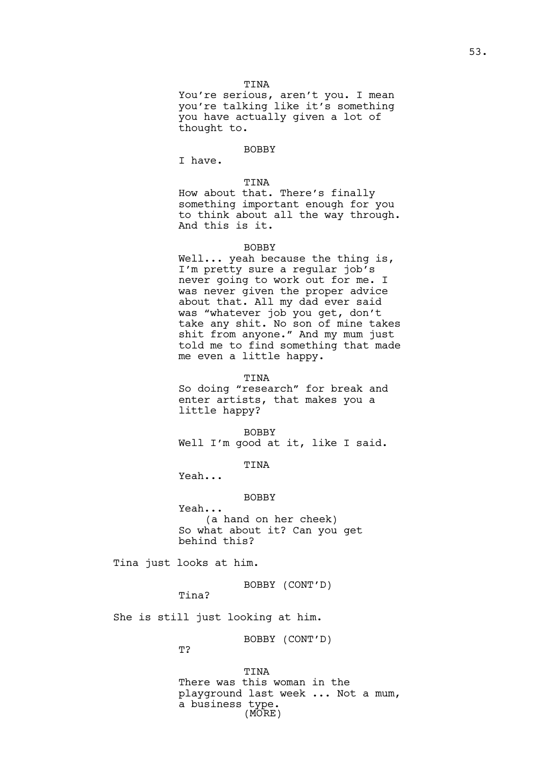You're serious, aren't you. I mean you're talking like it's something you have actually given a lot of thought to.

#### BOBBY

I have.

## TINA

How about that. There's finally something important enough for you to think about all the way through. And this is it.

## BOBBY

Well... yeah because the thing is, I'm pretty sure a regular job's never going to work out for me. I was never given the proper advice about that. All my dad ever said was "whatever job you get, don't take any shit. No son of mine takes shit from anyone." And my mum just told me to find something that made me even a little happy.

#### TINA

So doing "research" for break and enter artists, that makes you a little happy?

BOBBY Well I'm good at it, like I said.

TINA

Yeah...

## BOBBY

Yeah... (a hand on her cheek) So what about it? Can you get behind this?

Tina just looks at him.

BOBBY (CONT'D)

Tina?

She is still just looking at him.

BOBBY (CONT'D)

T?

TINA There was this woman in the playground last week ... Not a mum, a business type. (MORE)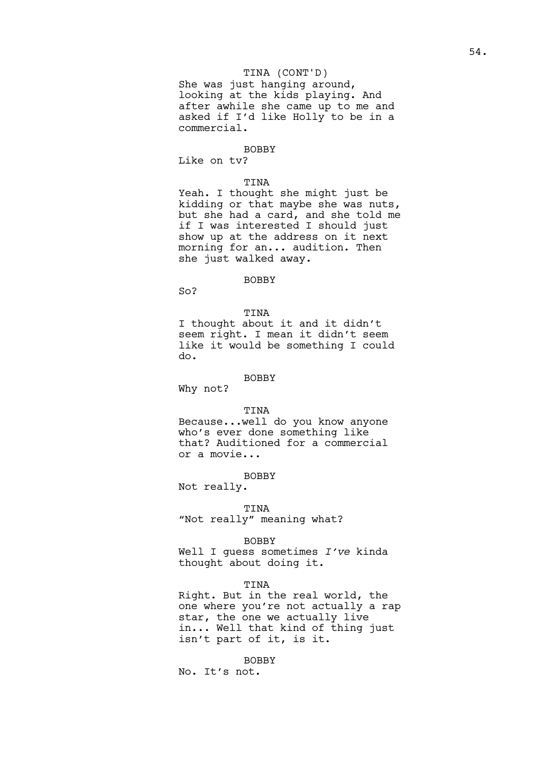## TINA (CONT'D)

She was just hanging around, looking at the kids playing. And after awhile she came up to me and asked if I'd like Holly to be in a commercial.

#### BOBBY

Like on tv?

## TINA

Yeah. I thought she might just be kidding or that maybe she was nuts, but she had a card, and she told me if I was interested I should just show up at the address on it next morning for an... audition. Then she just walked away.

## BOBBY

 $SO<sub>2</sub>$ 

TINA

I thought about it and it didn't seem right. I mean it didn't seem like it would be something I could do.

## BOBBY

Why not?

## TINA

Because...well do you know anyone who's ever done something like that? Auditioned for a commercial or a movie...

BOBBY

Not really.

## TINA

"Not really" meaning what?

## BOBBY

Well I guess sometimes *I've* kinda thought about doing it.

## TINA

Right. But in the real world, the one where you're not actually a rap star, the one we actually live in... Well that kind of thing just isn't part of it, is it.

BOBBY

No. It's not.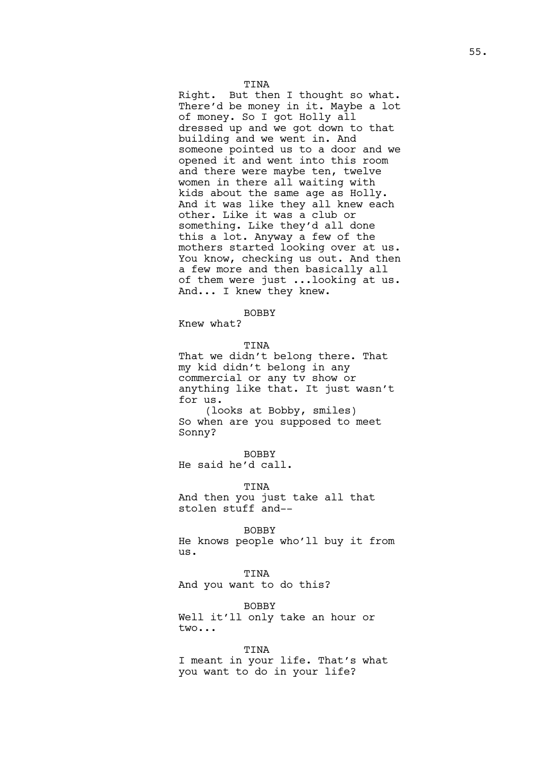Right. But then I thought so what. There'd be money in it. Maybe a lot of money. So I got Holly all dressed up and we got down to that building and we went in. And someone pointed us to a door and we opened it and went into this room and there were maybe ten, twelve women in there all waiting with kids about the same age as Holly. And it was like they all knew each other. Like it was a club or something. Like they'd all done this a lot. Anyway a few of the mothers started looking over at us. You know, checking us out. And then a few more and then basically all of them were just ...looking at us. And... I knew they knew.

## BOBBY

Knew what?

TINA That we didn't belong there. That my kid didn't belong in any commercial or any tv show or anything like that. It just wasn't for us. (looks at Bobby, smiles) So when are you supposed to meet Sonny?

BOBBY He said he'd call.

TINA And then you just take all that stolen stuff and--

BOBBY

He knows people who'll buy it from us.

TINA And you want to do this?

BOBBY Well it'll only take an hour or two...

TINA

I meant in your life. That's what you want to do in your life?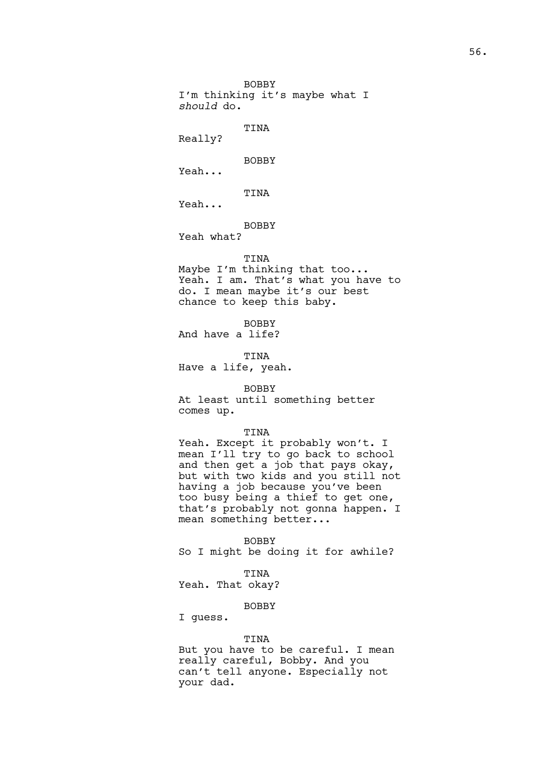BOBBY I'm thinking it's maybe what I *should* do.

# TINA

Really?

BOBBY

Yeah...

# TINA

Yeah...

# BOBBY

Yeah what?

## TINA

Maybe I'm thinking that too... Yeah. I am. That's what you have to do. I mean maybe it's our best chance to keep this baby.

BOBBY And have a life?

TINA Have a life, yeah.

## BOBBY

At least until something better comes up.

# TINA

Yeah. Except it probably won't. I mean I'll try to go back to school and then get a job that pays okay, but with two kids and you still not having a job because you've been too busy being a thief to get one, that's probably not gonna happen. I mean something better...

BOBBY So I might be doing it for awhile?

# TINA

Yeah. That okay?

## BOBBY

# I guess.

## TINA

But you have to be careful. I mean really careful, Bobby. And you can't tell anyone. Especially not your dad.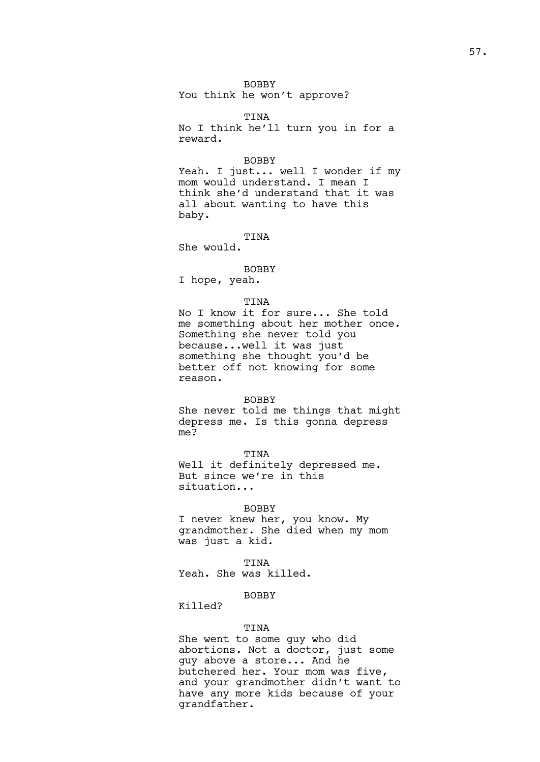## BOBBY You think he won't approve?

TINA No I think he'll turn you in for a reward.

#### BOBBY

Yeah. I just... well I wonder if my mom would understand. I mean I think she'd understand that it was all about wanting to have this baby.

TINA

She would.

BOBBY I hope, yeah.

## TINA

No I know it for sure... She told me something about her mother once. Something she never told you because...well it was just something she thought you'd be better off not knowing for some reason.

## BOBBY

She never told me things that might depress me. Is this gonna depress me?

TINA

Well it definitely depressed me. But since we're in this situation...

#### BOBBY

I never knew her, you know. My grandmother. She died when my mom was just a kid.

## TINA

Yeah. She was killed.

# BOBBY

Killed?

## TINA

She went to some guy who did abortions. Not a doctor, just some guy above a store... And he butchered her. Your mom was five, and your grandmother didn't want to have any more kids because of your grandfather.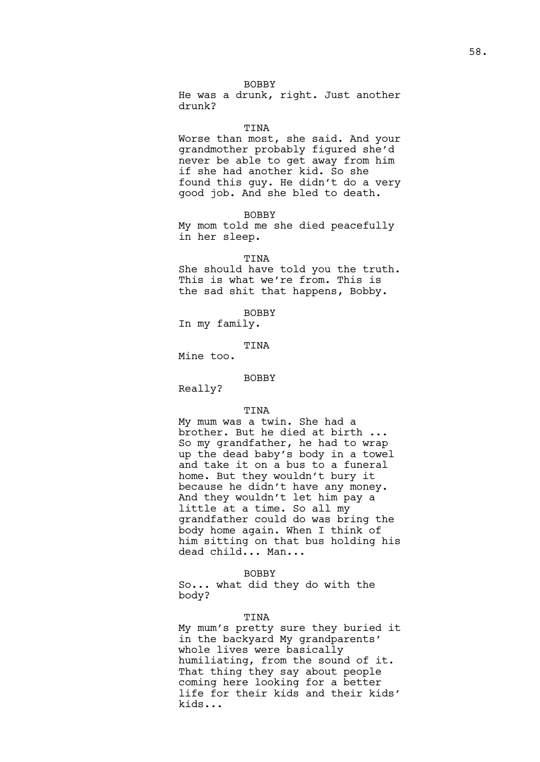## BOBBY

He was a drunk, right. Just another drunk?

#### **TINA**

Worse than most, she said. And your grandmother probably figured she'd never be able to get away from him if she had another kid. So she found this guy. He didn't do a very good job. And she bled to death.

BOBBY

My mom told me she died peacefully in her sleep.

#### TINA

She should have told you the truth. This is what we're from. This is the sad shit that happens, Bobby.

BOBBY

In my family.

TINA

Mine too.

## BOBBY

Really?

#### TINA

My mum was a twin. She had a brother. But he died at birth ... So my grandfather, he had to wrap up the dead baby's body in a towel and take it on a bus to a funeral home. But they wouldn't bury it because he didn't have any money. And they wouldn't let him pay a little at a time. So all my grandfather could do was bring the body home again. When I think of him sitting on that bus holding his dead child... Man...

## BOBBY

So... what did they do with the body?

#### TINA

My mum's pretty sure they buried it in the backyard My grandparents' whole lives were basically humiliating, from the sound of it. That thing they say about people coming here looking for a better life for their kids and their kids' kids...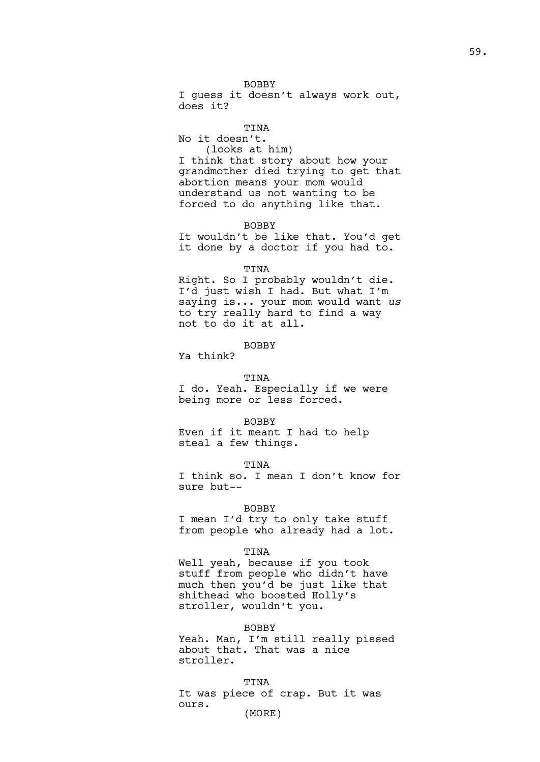I guess it doesn't always work out, does it?

# **TINA**

No it doesn't. (looks at him)

I think that story about how your grandmother died trying to get that abortion means your mom would understand us not wanting to be forced to do anything like that.

BOBBY

It wouldn't be like that. You'd get it done by a doctor if you had to.

## TINA

Right. So I probably wouldn't die. I'd just wish I had. But what I'm saying is... your mom would want *us* to try really hard to find a way not to do it at all.

## BOBBY

Ya think?

TINA I do. Yeah. Especially if we were being more or less forced.

## BOBBY

Even if it meant I had to help steal a few things.

TINA

I think so. I mean I don't know for sure but--

#### BOBBY

I mean I'd try to only take stuff from people who already had a lot.

## TINA

Well yeah, because if you took stuff from people who didn't have much then you'd be just like that shithead who boosted Holly's stroller, wouldn't you.

#### BOBBY

Yeah. Man, I'm still really pissed about that. That was a nice stroller.

#### TINA

It was piece of crap. But it was ours. (MORE)

59.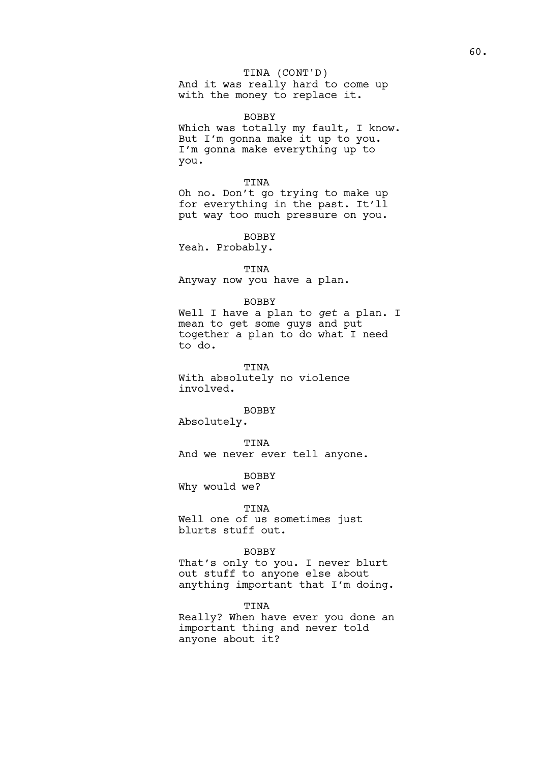## TINA (CONT'D)

And it was really hard to come up with the money to replace it.

BOBBY

Which was totally my fault, I know. But I'm gonna make it up to you. I'm gonna make everything up to you.

## TINA

Oh no. Don't go trying to make up for everything in the past. It'll put way too much pressure on you.

BOBBY Yeah. Probably.

# TINA Anyway now you have a plan.

#### BOBBY

Well I have a plan to *get* a plan. I mean to get some guys and put together a plan to do what I need to do.

## TINA

With absolutely no violence involved.

BOBBY

Absolutely.

TINA And we never ever tell anyone.

BOBBY Why would we?

#### TINA

Well one of us sometimes just blurts stuff out.

## BOBBY

That's only to you. I never blurt out stuff to anyone else about anything important that I'm doing.

TINA

Really? When have ever you done an important thing and never told anyone about it?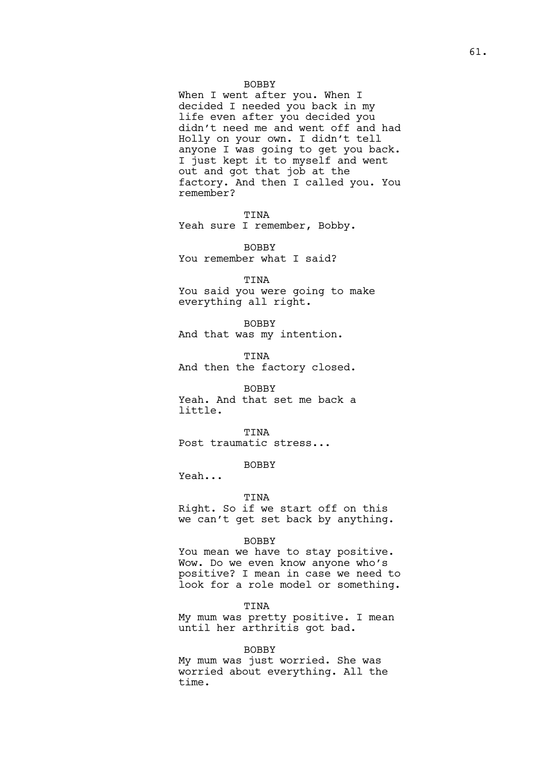## BOBBY

When I went after you. When I decided I needed you back in my life even after you decided you didn't need me and went off and had Holly on your own. I didn't tell anyone I was going to get you back. I just kept it to myself and went out and got that job at the factory. And then I called you. You remember?

TINA Yeah sure I remember, Bobby.

BOBBY You remember what I said?

TINA

You said you were going to make everything all right.

BOBBY And that was my intention.

TINA And then the factory closed.

#### BOBBY

Yeah. And that set me back a little.

TINA Post traumatic stress...

# BOBBY

Yeah...

## TINA

Right. So if we start off on this we can't get set back by anything.

#### BOBBY

You mean we have to stay positive. Wow. Do we even know anyone who's positive? I mean in case we need to look for a role model or something.

TINA

My mum was pretty positive. I mean until her arthritis got bad.

#### BOBBY

My mum was just worried. She was worried about everything. All the time.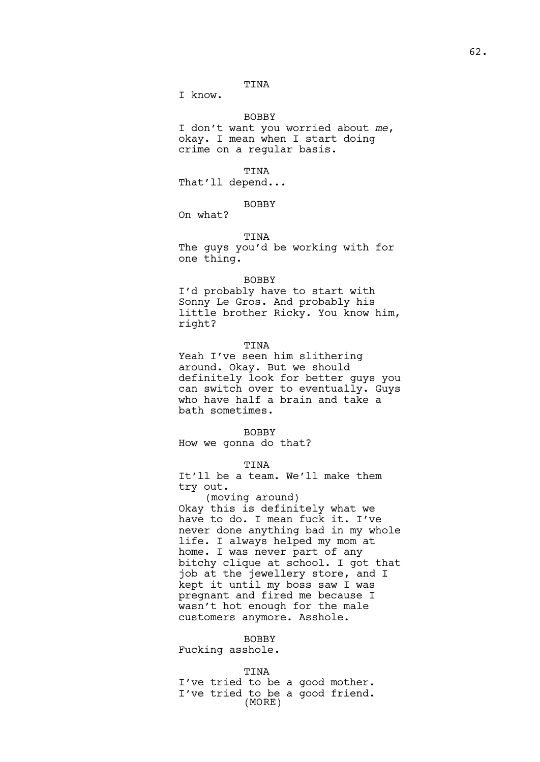I know.

## BOBBY

I don't want you worried about *me*, okay. I mean when I start doing crime on a regular basis.

## TINA

That'll depend...

## **BOBBY**

On what?

## TINA

The guys you'd be working with for one thing.

## BOBBY

I'd probably have to start with Sonny Le Gros. And probably his little brother Ricky. You know him, right?

#### TINA

Yeah I've seen him slithering around. Okay. But we should definitely look for better guys you can switch over to eventually. Guys who have half a brain and take a bath sometimes.

#### BOBBY

How we gonna do that?

#### TINA

It'll be a team. We'll make them try out.

(moving around) Okay this is definitely what we have to do. I mean fuck it. I've never done anything bad in my whole life. I always helped my mom at home. I was never part of any bitchy clique at school. I got that job at the jewellery store, and I kept it until my boss saw I was pregnant and fired me because I wasn't hot enough for the male customers anymore. Asshole.

# BOBBY

Fucking asshole.

#### TINA

I've tried to be a good mother. I've tried to be a good friend. (MORE)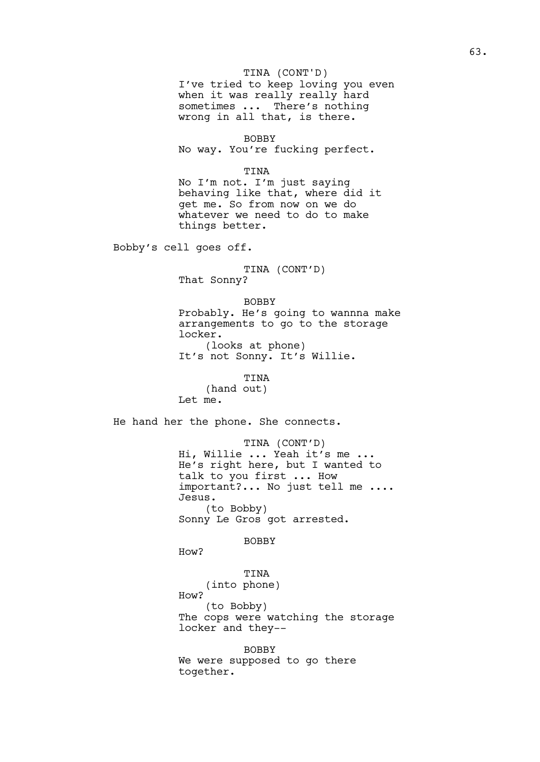# TINA (CONT'D)

I've tried to keep loving you even when it was really really hard sometimes ... There's nothing wrong in all that, is there.

BOBBY No way. You're fucking perfect.

## TINA

No I'm not. I'm just saying behaving like that, where did it get me. So from now on we do whatever we need to do to make things better.

Bobby's cell goes off.

TINA (CONT'D) That Sonny?

BOBBY Probably. He's going to wannna make arrangements to go to the storage locker. (looks at phone) It's not Sonny. It's Willie.

TINA

(hand out) Let me.

He hand her the phone. She connects.

TINA (CONT'D) Hi, Willie ... Yeah it's me ... He's right here, but I wanted to talk to you first ... How important?... No just tell me .... Jesus. (to Bobby) Sonny Le Gros got arrested.

BOBBY

How?

# TINA

(into phone)

How?

(to Bobby) The cops were watching the storage locker and they--

BOBBY

We were supposed to go there together.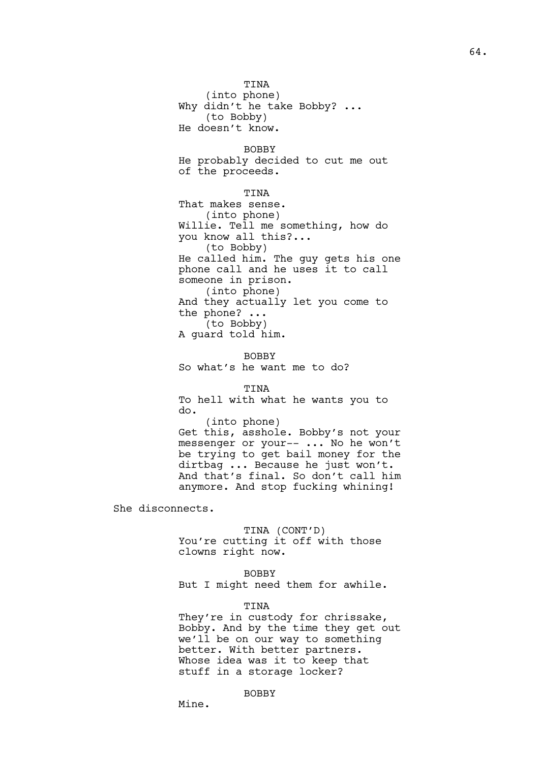TINA (into phone) Why didn't he take Bobby? ... (to Bobby) He doesn't know.

BOBBY He probably decided to cut me out of the proceeds.

## TINA

That makes sense. (into phone) Willie. Tell me something, how do you know all this?... (to Bobby) He called him. The guy gets his one phone call and he uses it to call someone in prison. (into phone) And they actually let you come to the phone? ... (to Bobby) A guard told him.

BOBBY So what's he want me to do?

## **TINA**

To hell with what he wants you to do. (into phone) Get this, asshole. Bobby's not your messenger or your-- ... No he won't be trying to get bail money for the dirtbag ... Because he just won't. And that's final. So don't call him anymore. And stop fucking whining!

She disconnects.

## TINA (CONT'D)

You're cutting it off with those clowns right now.

## BOBBY

But I might need them for awhile.

## TINA

They're in custody for chrissake, Bobby. And by the time they get out we'll be on our way to something better. With better partners. Whose idea was it to keep that stuff in a storage locker?

## BOBBY

Mine.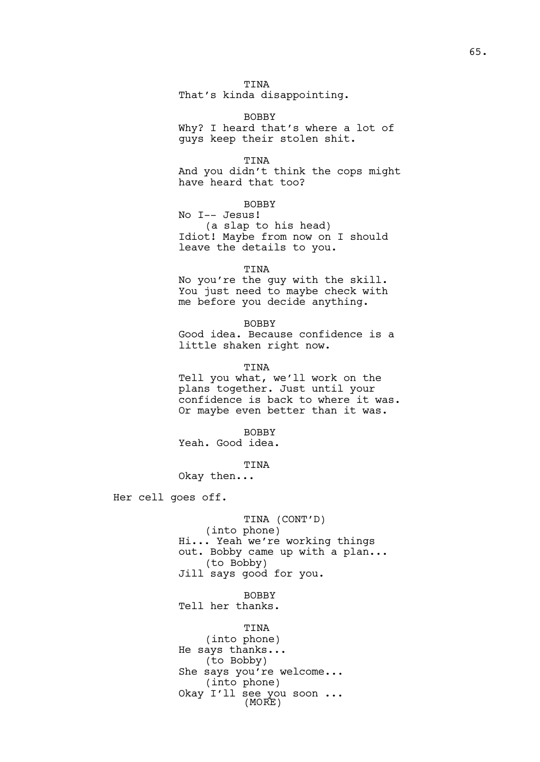That's kinda disappointing.

BOBBY Why? I heard that's where a lot of guys keep their stolen shit.

TINA

And you didn't think the cops might have heard that too?

**BOBBY** 

No I-- Jesus! (a slap to his head) Idiot! Maybe from now on I should leave the details to you.

TINA

No you're the guy with the skill. You just need to maybe check with me before you decide anything.

BOBBY Good idea. Because confidence is a little shaken right now.

TINA

Tell you what, we'll work on the plans together. Just until your confidence is back to where it was. Or maybe even better than it was.

BOBBY

Yeah. Good idea.

TINA

Okay then...

Her cell goes off.

TINA (CONT'D) (into phone) Hi... Yeah we're working things out. Bobby came up with a plan... (to Bobby) Jill says good for you.

BOBBY

Tell her thanks.

TINA (into phone) He says thanks... (to Bobby) She says you're welcome... (into phone) Okay I'll see you soon ... (MORE)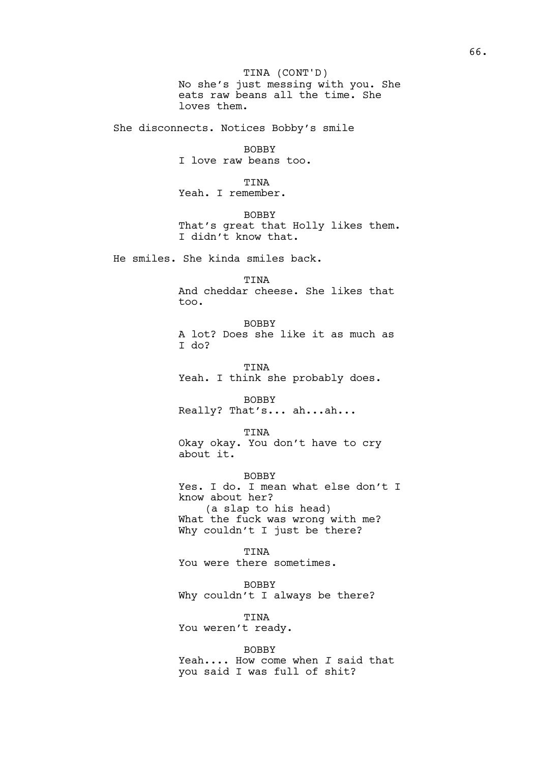No she's just messing with you. She eats raw beans all the time. She loves them. TINA (CONT'D)

She disconnects. Notices Bobby's smile

BOBBY I love raw beans too.

TINA

Yeah. I remember. BOBBY

That's great that Holly likes them. I didn't know that.

He smiles. She kinda smiles back.

## TINA

And cheddar cheese. She likes that too.

BOBBY A lot? Does she like it as much as I do?

TINA Yeah. I think she probably does.

BOBBY Really? That's... ah...ah...

TINA

Okay okay. You don't have to cry about it.

BOBBY Yes. I do. I mean what else don't I know about her? (a slap to his head) What the fuck was wrong with me? Why couldn't I just be there?

TINA You were there sometimes.

BOBBY Why couldn't I always be there?

TINA You weren't ready.

BOBBY Yeah.... How come when *I* said that you said I was full of shit?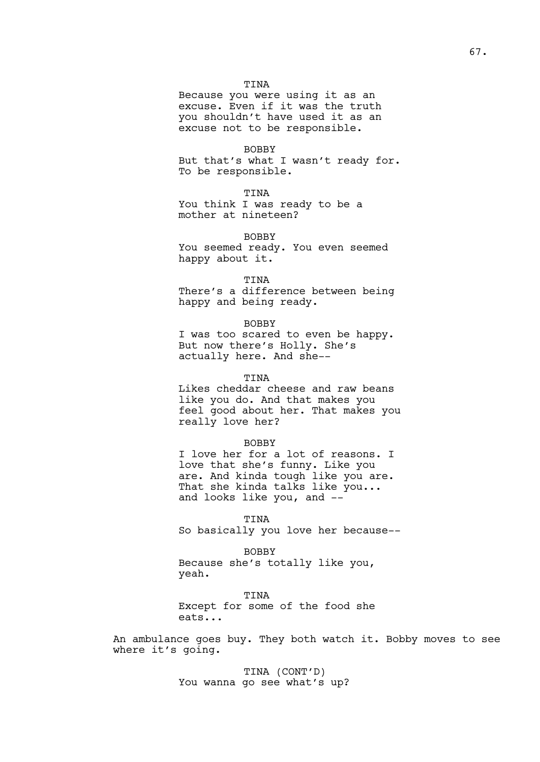Because you were using it as an excuse. Even if it was the truth you shouldn't have used it as an excuse not to be responsible.

BOBBY

But that's what I wasn't ready for. To be responsible.

## TINA

You think I was ready to be a mother at nineteen?

## BOBBY

You seemed ready. You even seemed happy about it.

## TINA

There's a difference between being happy and being ready.

#### BOBBY

I was too scared to even be happy. But now there's Holly. She's actually here. And she--

#### TINA

Likes cheddar cheese and raw beans like you do. And that makes you feel good about her. That makes you really love her?

#### BOBBY

I love her for a lot of reasons. I love that she's funny. Like you are. And kinda tough like you are. That she kinda talks like you... and looks like you, and --

TINA So basically you love her because--

BOBBY Because she's totally like you, yeah.

TINA Except for some of the food she eats...

An ambulance goes buy. They both watch it. Bobby moves to see where it's going.

> TINA (CONT'D) You wanna go see what's up?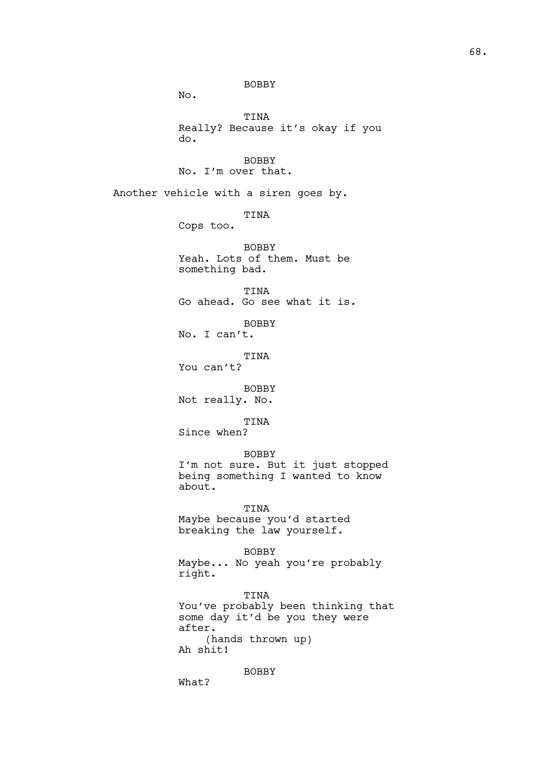BOBBY No. TINA Really? Because it's okay if you do. BOBBY No. I'm over that. Another vehicle with a siren goes by. TINA Cops too. BOBBY Yeah. Lots of them. Must be something bad. TINA Go ahead. Go see what it is. BOBBY No. I can't. TINA You can't? BOBBY Not really. No. TINA Since when? BOBBY I'm not sure. But it just stopped being something I wanted to know about. TINA Maybe because you'd started breaking the law yourself. BOBBY Maybe... No yeah you're probably right. TINA You've probably been thinking that some day it'd be you they were after. (hands thrown up) Ah shit! BOBBY

What?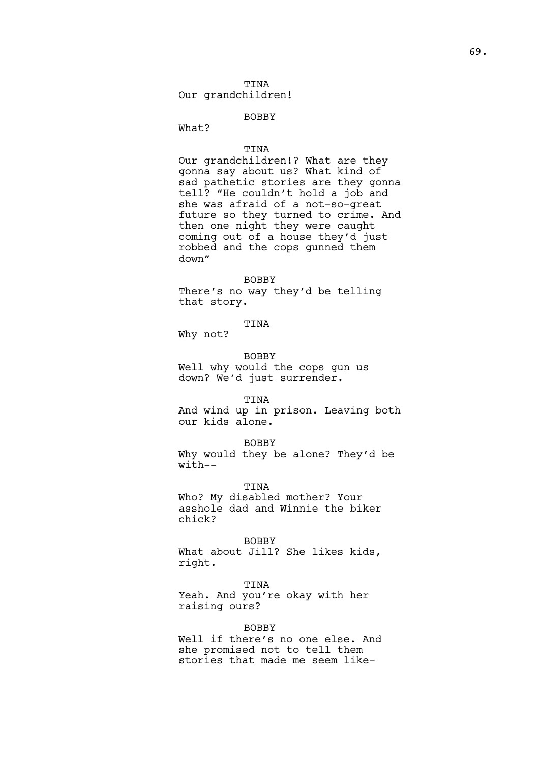## TINA Our grandchildren!

## BOBBY

What?

#### TINA

Our grandchildren!? What are they gonna say about us? What kind of sad pathetic stories are they gonna tell? "He couldn't hold a job and she was afraid of a not-so-great future so they turned to crime. And then one night they were caught coming out of a house they'd just robbed and the cops gunned them down"

#### BOBBY

There's no way they'd be telling that story.

# TINA

Why not?

BOBBY Well why would the cops gun us down? We'd just surrender.

#### TINA

And wind up in prison. Leaving both our kids alone.

#### BOBBY

Why would they be alone? They'd be with--

#### TINA

Who? My disabled mother? Your asshole dad and Winnie the biker chick?

BOBBY

What about Jill? She likes kids, right.

#### TINA

Yeah. And you're okay with her raising ours?

## BOBBY

Well if there's no one else. And she promised not to tell them stories that made me seem like-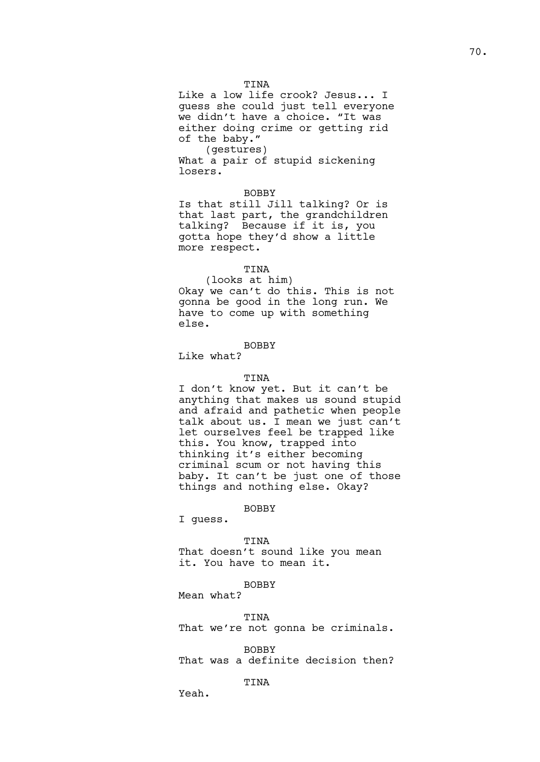Like a low life crook? Jesus... I guess she could just tell everyone we didn't have a choice. "It was either doing crime or getting rid of the baby."

(gestures) What a pair of stupid sickening losers.

## BOBBY

Is that still Jill talking? Or is that last part, the grandchildren talking? Because if it is, you gotta hope they'd show a little more respect.

## TINA

(looks at him) Okay we can't do this. This is not gonna be good in the long run. We have to come up with something else.

## BOBBY

Like what?

#### TINA

I don't know yet. But it can't be anything that makes us sound stupid and afraid and pathetic when people talk about us. I mean we just can't let ourselves feel be trapped like this. You know, trapped into thinking it's either becoming criminal scum or not having this baby. It can't be just one of those things and nothing else. Okay?

#### BOBBY

I guess.

#### TINA

That doesn't sound like you mean it. You have to mean it.

#### BOBBY

Mean what?

#### TINA

That we're not gonna be criminals.

BOBBY That was a definite decision then?

# TINA

Yeah.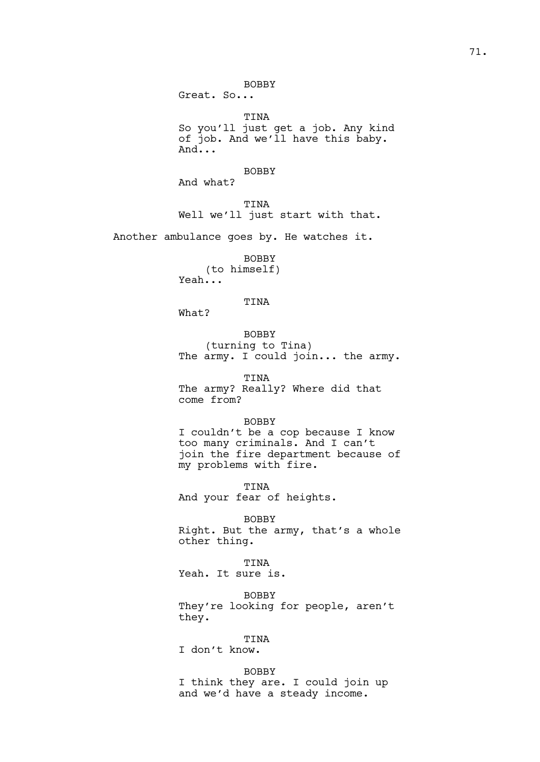Great. So...

TINA So you'll just get a job. Any kind of job. And we'll have this baby. And...

BOBBY

And what?

TINA Well we'll just start with that.

Another ambulance goes by. He watches it.

BOBBY (to himself) Yeah...

# TINA

What?

BOBBY (turning to Tina) The army. I could join... the army.

TINA The army? Really? Where did that come from?

# BOBBY

I couldn't be a cop because I know too many criminals. And I can't join the fire department because of my problems with fire.

TINA And your fear of heights.

BOBBY Right. But the army, that's a whole other thing.

TINA

Yeah. It sure is.

BOBBY They're looking for people, aren't they.

TINA

I don't know.

BOBBY I think they are. I could join up and we'd have a steady income.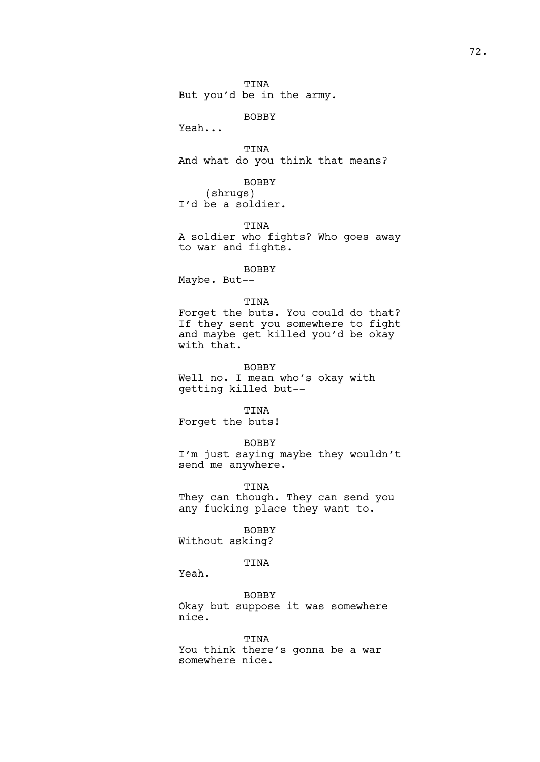TINA But you'd be in the army.

BOBBY

Yeah...

TINA And what do you think that means?

BOBBY (shrugs) I'd be a soldier.

TINA A soldier who fights? Who goes away to war and fights.

BOBBY Maybe. But--

### TINA

Forget the buts. You could do that? If they sent you somewhere to fight and maybe get killed you'd be okay with that.

BOBBY

Well no. I mean who's okay with getting killed but--

TINA

Forget the buts!

BOBBY

I'm just saying maybe they wouldn't send me anywhere.

TINA

They can though. They can send you any fucking place they want to.

BOBBY

Without asking?

TINA

Yeah.

BOBBY

Okay but suppose it was somewhere nice.

TINA

You think there's gonna be a war somewhere nice.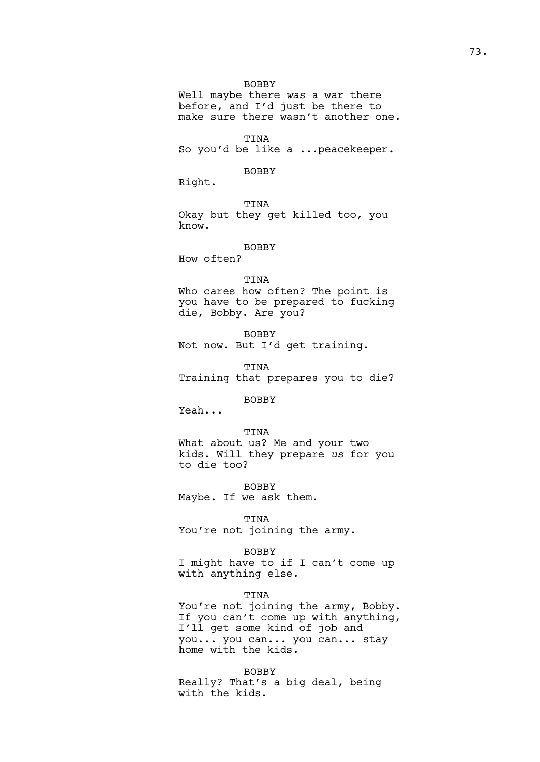BOBBY

Well maybe there *was* a war there before, and I'd just be there to make sure there wasn't another one.

TINA So you'd be like a ...peacekeeper.

BOBBY

Right.

TINA Okay but they get killed too, you know.

### BOBBY

How often?

#### TINA

Who cares how often? The point is you have to be prepared to fucking die, Bobby. Are you?

BOBBY Not now. But I'd get training.

TINA Training that prepares you to die?

**BOBBY** 

Yeah...

TINA What about us? Me and your two kids. Will they prepare *us* for you to die too?

BOBBY Maybe. If we ask them.

TINA

You're not joining the army.

#### BOBBY

I might have to if I can't come up with anything else.

# TINA

You're not joining the army, Bobby. If you can't come up with anything, I'll get some kind of job and you... you can... you can... stay home with the kids.

BOBBY Really? That's a big deal, being with the kids.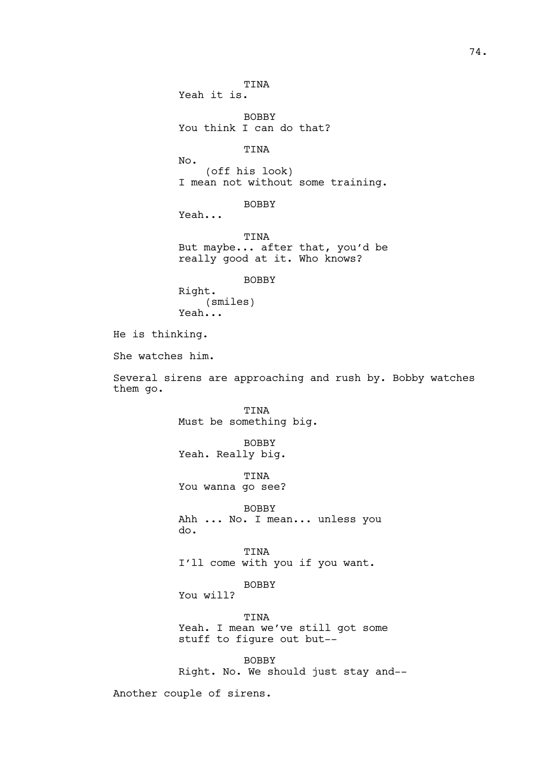TINA Yeah it is. BOBBY You think I can do that? TINA No. (off his look) I mean not without some training. BOBBY Yeah... TINA But maybe... after that, you'd be really good at it. Who knows? BOBBY Right. (smiles) Yeah... He is thinking. She watches him. Several sirens are approaching and rush by. Bobby watches TINA Must be something big. BOBBY Yeah. Really big. TINA You wanna go see?

BOBBY Ahh ... No. I mean... unless you do.

TINA I'll come with you if you want.

BOBBY

You will?

them go.

TINA Yeah. I mean we've still got some stuff to figure out but--

BOBBY Right. No. We should just stay and--

Another couple of sirens.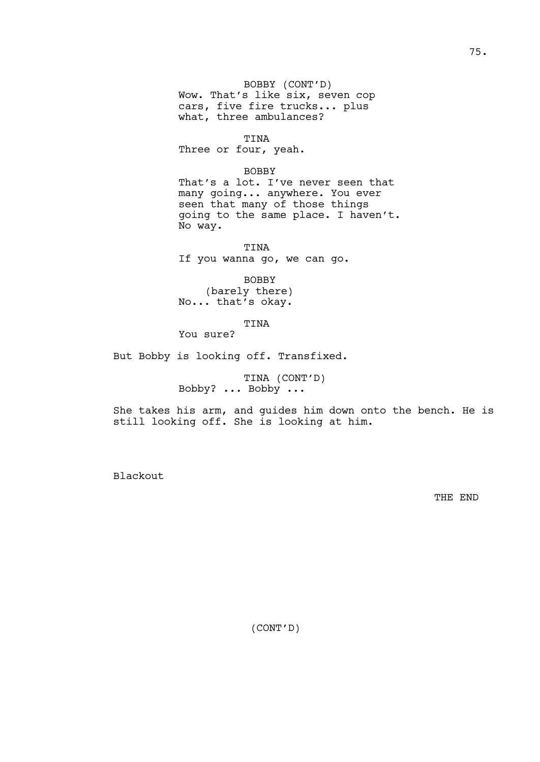BOBBY (CONT'D) Wow. That's like six, seven cop cars, five fire trucks... plus what, three ambulances?

TINA

Three or four, yeah.

BOBBY

That's a lot. I've never seen that many going... anywhere. You ever seen that many of those things going to the same place. I haven't. No way.

TINA If you wanna go, we can go.

BOBBY (barely there) No... that's okay.

TINA

You sure?

But Bobby is looking off. Transfixed.

TINA (CONT'D) Bobby? ... Bobby ...

She takes his arm, and guides him down onto the bench. He is still looking off. She is looking at him.

Blackout

THE END

(CONT'D)